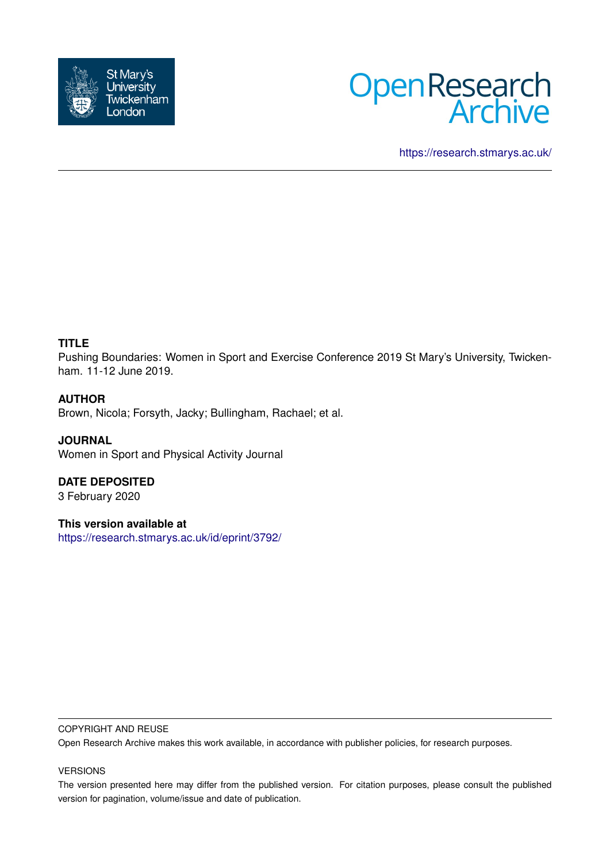



<https://research.stmarys.ac.uk/>

### **TITLE**

Pushing Boundaries: Women in Sport and Exercise Conference 2019 St Mary's University, Twickenham. 11-12 June 2019.

### **AUTHOR**

Brown, Nicola; Forsyth, Jacky; Bullingham, Rachael; et al.

**JOURNAL** Women in Sport and Physical Activity Journal

**DATE DEPOSITED** 3 February 2020

**This version available at** <https://research.stmarys.ac.uk/id/eprint/3792/>

#### COPYRIGHT AND REUSE

Open Research Archive makes this work available, in accordance with publisher policies, for research purposes.

#### VERSIONS

The version presented here may differ from the published version. For citation purposes, please consult the published version for pagination, volume/issue and date of publication.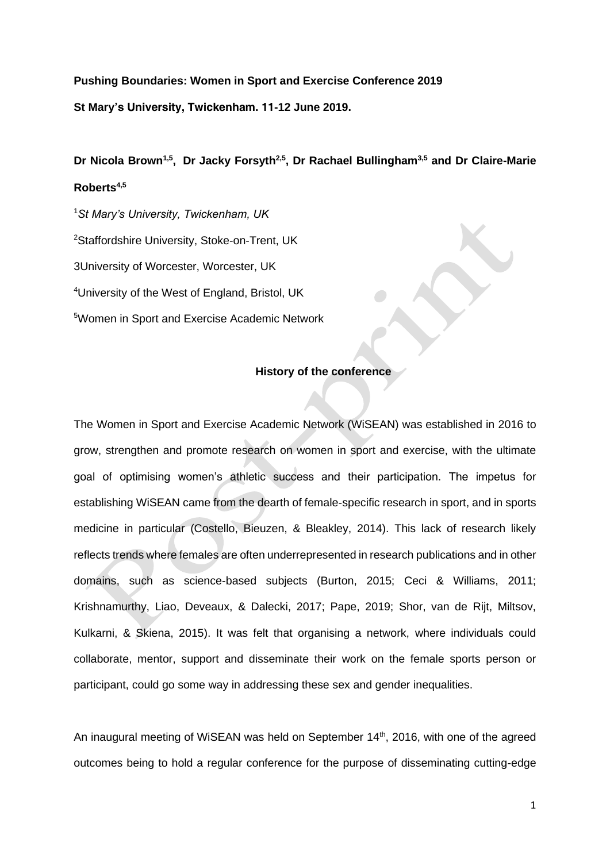**Pushing Boundaries: Women in Sport and Exercise Conference 2019 St Mary's University, Twickenham. 11-12 June 2019.**

**Dr Nicola Brown1,5 , Dr Jacky Forsyth2,5, Dr Rachael Bullingham3,5 and Dr Claire-Marie Roberts4,5**

*St Mary's University, Twickenham, UK Staffordshire University, Stoke-on-Trent, UK 3University of Worcester, Worcester, UK University of the West of England, Bristol, UK Women in Sport and Exercise Academic Network*

### **History of the conference**

The Women in Sport and Exercise Academic Network (WiSEAN) was established in 2016 to grow, strengthen and promote research on women in sport and exercise, with the ultimate goal of optimising women's athletic success and their participation. The impetus for establishing WiSEAN came from the dearth of female-specific research in sport, and in sports medicine in particular (Costello, Bieuzen, & Bleakley, 2014). This lack of research likely reflects trends where females are often underrepresented in research publications and in other domains, such as science-based subjects (Burton, 2015; Ceci & Williams, 2011; Krishnamurthy, Liao, Deveaux, & Dalecki, 2017; Pape, 2019; Shor, van de Rijt, Miltsov, Kulkarni, & Skiena, 2015). It was felt that organising a network, where individuals could collaborate, mentor, support and disseminate their work on the female sports person or participant, could go some way in addressing these sex and gender inequalities.

An inaugural meeting of WiSEAN was held on September 14<sup>th</sup>, 2016, with one of the agreed outcomes being to hold a regular conference for the purpose of disseminating cutting-edge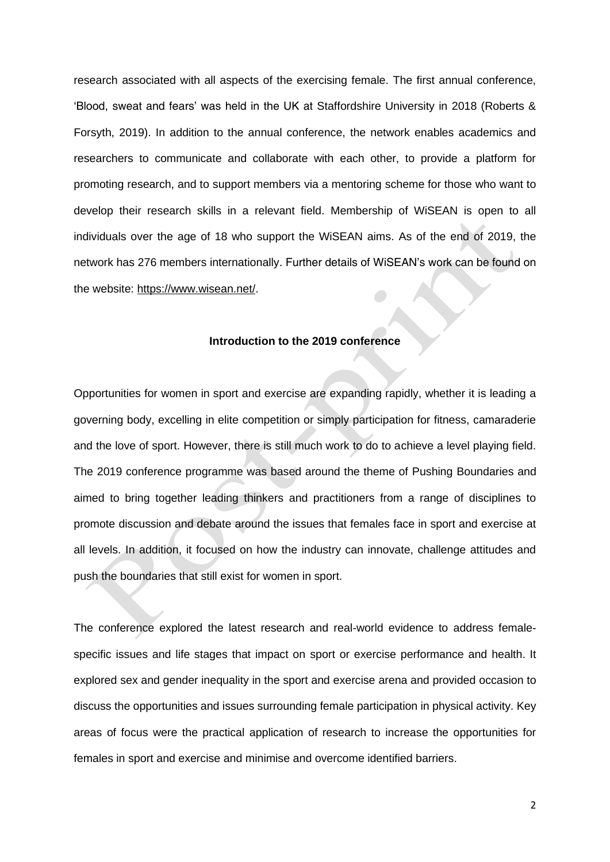research associated with all aspects of the exercising female. The first annual conference, 'Blood, sweat and fears' was held in the UK at Staffordshire University in 2018 (Roberts & Forsyth, 2019). In addition to the annual conference, the network enables academics and researchers to communicate and collaborate with each other, to provide a platform for promoting research, and to support members via a mentoring scheme for those who want to develop their research skills in a relevant field. Membership of WiSEAN is open to all individuals over the age of 18 who support the WiSEAN aims. As of the end of 2019, the network has 276 members internationally. Further details of WiSEAN's work can be found on the website[:](https://www.wisean.net/) [https://www.wisean.net/.](https://www.wisean.net/)

#### **Introduction to the 2019 conference**

Opportunities for women in sport and exercise are expanding rapidly, whether it is leading a governing body, excelling in elite competition or simply participation for fitness, camaraderie and the love of sport. However, there is still much work to do to achieve a level playing field. The 2019 conference programme was based around the theme of *Pushing Boundaries* and aimed to bring together leading thinkers and practitioners from a range of disciplines to promote discussion and debate around the issues that females face in sport and exercise at all levels. In addition, it focused on how the industry can innovate, challenge attitudes and push the boundaries that still exist for women in sport.

The conference explored the latest research and real-world evidence to address femalespecific issues and life stages that impact on sport or exercise performance and health. It explored sex and gender inequality in the sport and exercise arena and provided occasion to discuss the opportunities and issues surrounding female participation in physical activity. Key areas of focus were the practical application of research to increase the opportunities for females in sport and exercise and minimise and overcome identified barriers.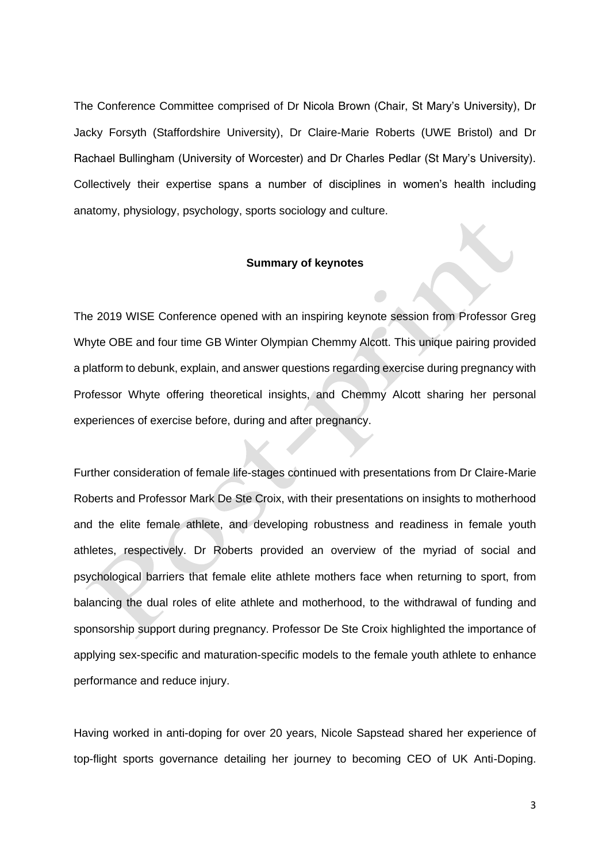The Conference Committee comprised of Dr Nicola Brown (Chair, St Mary's University), Dr Jacky Forsyth (Staffordshire University), Dr Claire-Marie Roberts (UWE Bristol) and Dr Rachael Bullingham (University of Worcester) and Dr Charles Pedlar (St Mary's University). Collectively their expertise spans a number of disciplines in women's health including anatomy, physiology, psychology, sports sociology and culture.

#### **Summary of keynotes**

The 2019 WISE Conference opened with an inspiring keynote session from Professor Greg Whyte OBE and four time GB Winter Olympian Chemmy Alcott. This unique pairing provided a platform to debunk, explain, and answer questions regarding exercise during pregnancy with Professor Whyte offering theoretical insights, and Chemmy Alcott sharing her personal experiences of exercise before, during and after pregnancy.

Further consideration of female life-stages continued with presentations from Dr Claire-Marie Roberts and Professor Mark De Ste Croix, with their presentations on insights to motherhood and the elite female athlete, and developing robustness and readiness in female youth athletes, respectively. Dr Roberts provided an overview of the myriad of social and psychological barriers that female elite athlete mothers face when returning to sport, from balancing the dual roles of elite athlete and motherhood, to the withdrawal of funding and sponsorship support during pregnancy. Professor De Ste Croix highlighted the importance of applying sex-specific and maturation-specific models to the female youth athlete to enhance performance and reduce injury.

Having worked in anti-doping for over 20 years, Nicole Sapstead shared her experience of top-flight sports governance detailing her journey to becoming CEO of UK Anti-Doping.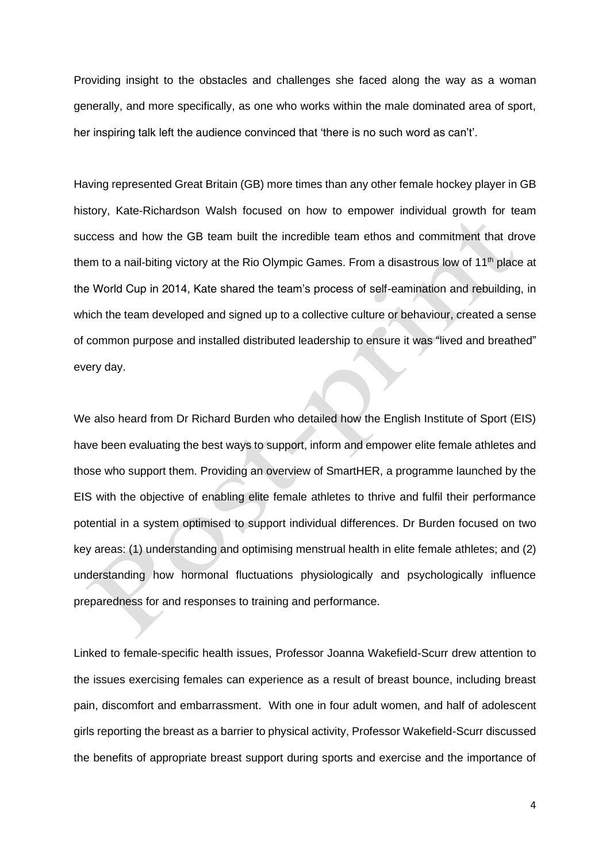Providing insight to the obstacles and challenges she faced along the way as a woman generally, and more specifically, as one who works within the male dominated area of sport, her inspiring talk left the audience convinced that 'there is no such word as can't'.

Having represented Great Britain (GB) more times than any other female hockey player in GB history, Kate-Richardson Walsh focused on how to empower individual growth for team success and how the GB team built the incredible team ethos and commitment that drove them to a nail-biting victory at the Rio Olympic Games. From a disastrous low of 11th place at the World Cup in 2014, Kate shared the team's process of self-eamination and rebuilding, in which the team developed and signed up to a collective culture or behaviour, created a sense of common purpose and installed distributed leadership to ensure it was "lived and breathed" every day.

We also heard from Dr Richard Burden who detailed how the English Institute of Sport (EIS) have been evaluating the best ways to support, inform and empower elite female athletes and those who support them. Providing an overview of SmartHER, a programme launched by the EIS with the objective of enabling elite female athletes to thrive and fulfil their performance potential in a system optimised to support individual differences*.* Dr Burden focused on two key areas: (1) understanding and optimising menstrual health in elite female athletes; and (2) understanding how hormonal fluctuations physiologically and psychologically influence preparedness for and responses to training and performance.

Linked to female-specific health issues, Professor Joanna Wakefield-Scurr drew attention to the issues exercising females can experience as a result of breast bounce, including breast pain, discomfort and embarrassment. With one in four adult women, and half of adolescent girls reporting the breast as a barrier to physical activity, Professor Wakefield-Scurr discussed the benefits of appropriate breast support during sports and exercise and the importance of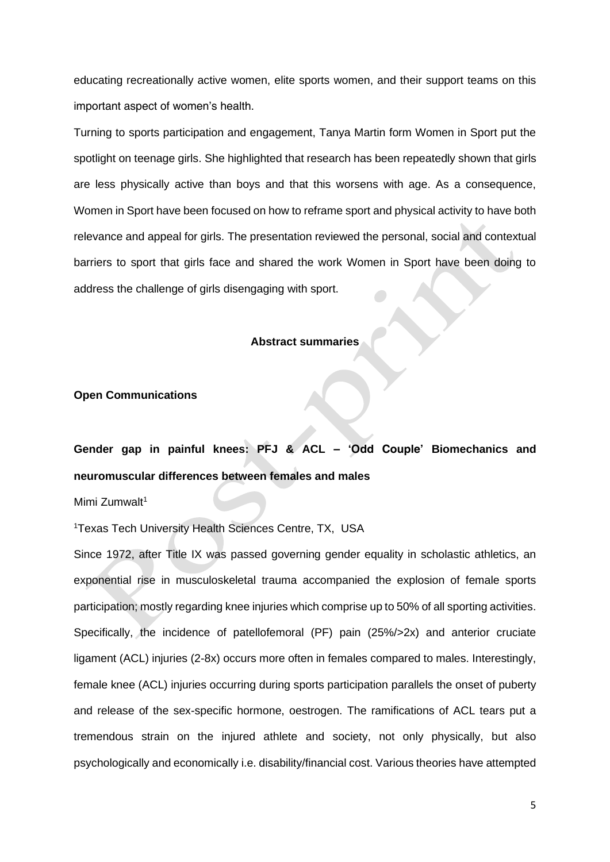educating recreationally active women, elite sports women, and their support teams on this important aspect of women's health.

Turning to sports participation and engagement, Tanya Martin form Women in Sport put the spotlight on teenage girls. She highlighted that research has been repeatedly shown that girls are less physically active than boys and that this worsens with age. As a consequence, Women in Sport have been focused on how to reframe sport and physical activity to have both relevance and appeal for girls. The presentation reviewed the personal, social and contextual barriers to sport that girls face and shared the work Women in Sport have been doing to address the challenge of girls disengaging with sport.

#### **Abstract summaries**

### **Open Communications**

**Gender gap in painful knees: PFJ & ACL – 'Odd Couple' Biomechanics and neuromuscular differences between females and males**

Mimi Zumwalt<sup>1</sup>

<sup>1</sup>*Texas Tech University Health Sciences Centre, TX, USA*

Since 1972, after Title IX was passed governing gender equality in scholastic athletics, an exponential rise in musculoskeletal trauma accompanied the explosion of female sports participation; mostly regarding knee injuries which comprise up to 50% of all sporting activities. Specifically, the incidence of patellofemoral (PF) pain (25%/>2x) and anterior cruciate ligament (ACL) injuries (2-8x) occurs more often in females compared to males. Interestingly, female knee (ACL) injuries occurring during sports participation parallels the onset of puberty and release of the sex-specific hormone, oestrogen. The ramifications of ACL tears put a tremendous strain on the injured athlete and society, not only physically, but also psychologically and economically i.e. disability/financial cost. Various theories have attempted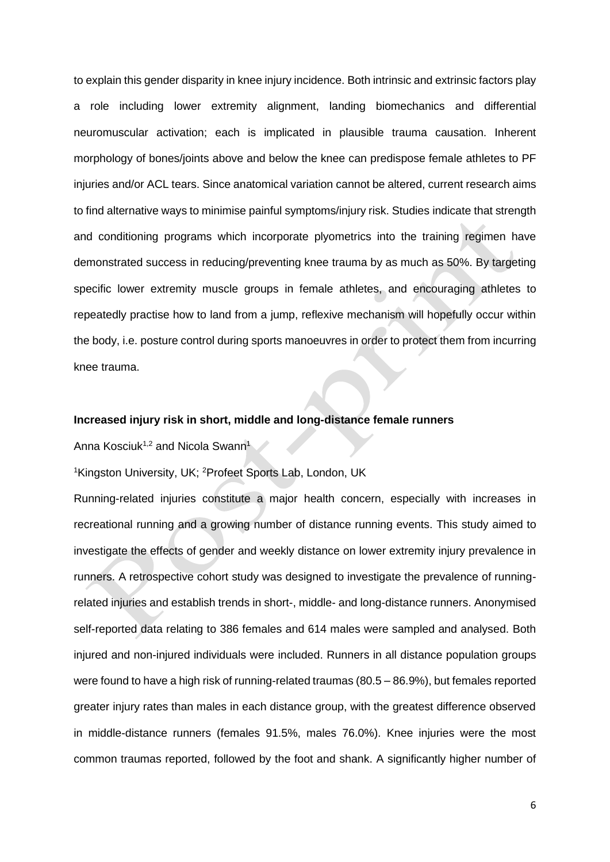to explain this gender disparity in knee injury incidence. Both intrinsic and extrinsic factors play a role including lower extremity alignment, landing biomechanics and differential neuromuscular activation; each is implicated in plausible trauma causation. Inherent morphology of bones/joints above and below the knee can predispose female athletes to PF injuries and/or ACL tears. Since anatomical variation cannot be altered, current research aims to find alternative ways to minimise painful symptoms/injury risk. Studies indicate that strength and conditioning programs which incorporate plyometrics into the training regimen have demonstrated success in reducing/preventing knee trauma by as much as 50%. By targeting specific lower extremity muscle groups in female athletes, and encouraging athletes to repeatedly practise how to land from a jump, reflexive mechanism will hopefully occur within the body, i.e. posture control during sports manoeuvres in order to protect them from incurring knee trauma.

### **Increased injury risk in short, middle and long-distance female runners**

Anna Kosciuk<sup>1,2</sup> and Nicola Swann<sup>1</sup>

<sup>1</sup>*Kingston University, UK;* <sup>2</sup>*Profeet Sports Lab, London, UK*

Running-related injuries constitute a major health concern, especially with increases in recreational running and a growing number of distance running events. This study aimed to investigate the effects of gender and weekly distance on lower extremity injury prevalence in runners. A retrospective cohort study was designed to investigate the prevalence of runningrelated injuries and establish trends in short-, middle- and long-distance runners. Anonymised self-reported data relating to 386 females and 614 males were sampled and analysed. Both injured and non-injured individuals were included. Runners in all distance population groups were found to have a high risk of running-related traumas (80.5 – 86.9%), but females reported greater injury rates than males in each distance group, with the greatest difference observed in middle-distance runners (females 91.5%, males 76.0%). Knee injuries were the most common traumas reported, followed by the foot and shank. A significantly higher number of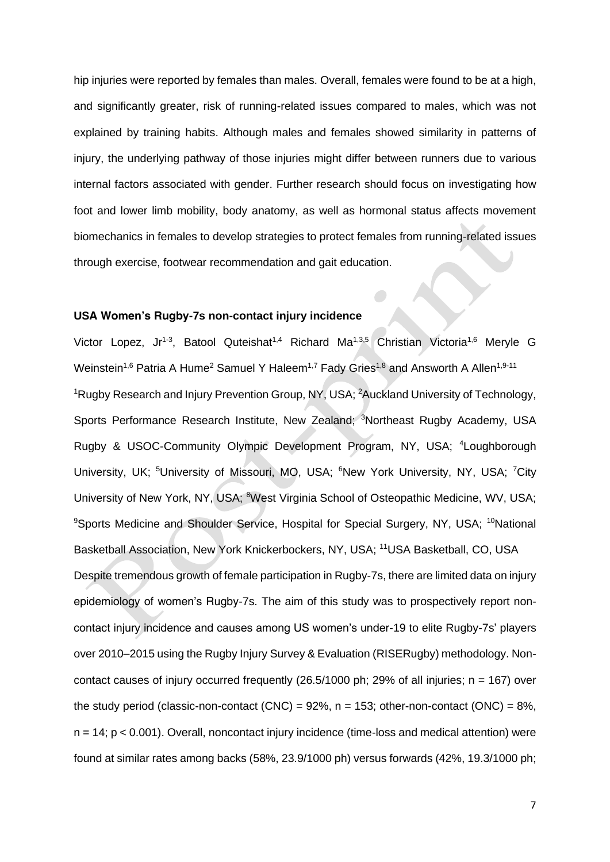hip injuries were reported by females than males. Overall, females were found to be at a high, and significantly greater, risk of running-related issues compared to males, which was not explained by training habits. Although males and females showed similarity in patterns of injury, the underlying pathway of those injuries might differ between runners due to various internal factors associated with gender. Further research should focus on investigating how foot and lower limb mobility, body anatomy, as well as hormonal status affects movement biomechanics in females to develop strategies to protect females from running-related issues through exercise, footwear recommendation and gait education.

#### **USA Women's Rugby-7s non-contact injury incidence**

Victor Lopez, Jr<sup>1-3</sup>, Batool Quteishat<sup>1,4</sup> Richard Ma<sup>1,3,5</sup> Christian Victoria<sup>1,6</sup> Meryle G Weinstein<sup>1,6</sup> Patria A Hume<sup>2</sup> Samuel Y Haleem<sup>1,7</sup> Fady Gries<sup>1,8</sup> and Answorth A Allen<sup>1,9-11</sup> *<sup>1</sup>Rugby Research and Injury Prevention Group, NY, USA; <sup>2</sup>Auckland University of Technology, Sports Performance Research Institute, New Zealand; <sup>3</sup>Northeast Rugby Academy, USA Rugby & USOC-Community Olympic Development Program, NY, USA; <sup>4</sup>Loughborough University, UK; <sup>5</sup>University of Missouri, MO, USA; <sup>6</sup>New York University, NY, USA; <sup>7</sup>City University of New York, NY, USA; <sup>8</sup>West Virginia School of Osteopathic Medicine, WV, USA; <sup>9</sup>Sports Medicine and Shoulder Service, Hospital for Special Surgery, NY, USA; <sup>10</sup>National Basketball Association, New York Knickerbockers, NY, USA; <sup>11</sup>USA Basketball, CO, USA* Despite tremendous growth of female participation in Rugby-7s, there are limited data on injury epidemiology of women's Rugby-7s. The aim of this study was to prospectively report noncontact injury incidence and causes among US women's under-19 to elite Rugby-7s' players over 2010–2015 using the Rugby Injury Survey & Evaluation (RISERugby) methodology. Noncontact causes of injury occurred frequently (26.5/1000 ph; 29% of all injuries; n = 167) over the study period (classic-non-contact (CNC) = 92%, *n* = 153; other-non-contact (ONC) = 8%, *n* = 14; p < 0.001). Overall, noncontact injury incidence (time-loss and medical attention) were found at similar rates among backs (58%, 23.9/1000 ph) versus forwards (42%, 19.3/1000 ph;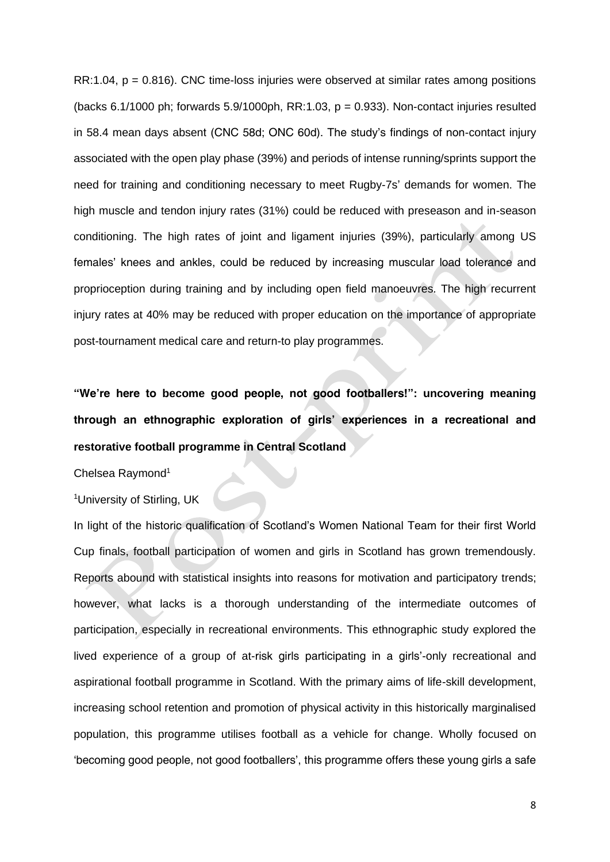RR:1.04, *p* = 0.816). CNC time-loss injuries were observed at similar rates among positions (backs 6.1/1000 ph; forwards 5.9/1000ph, RR:1.03, *p* = 0.933). Non-contact injuries resulted in 58.4 mean days absent (CNC 58d; ONC 60d). The study's findings of non-contact injury associated with the open play phase (39%) and periods of intense running/sprints support the need for training and conditioning necessary to meet Rugby-7s' demands for women. The high muscle and tendon injury rates (31%) could be reduced with preseason and in-season conditioning. The high rates of joint and ligament injuries (39%), particularly among US females' knees and ankles, could be reduced by increasing muscular load tolerance and proprioception during training and by including open field manoeuvres. The high recurrent injury rates at 40% may be reduced with proper education on the importance of appropriate post-tournament medical care and return-to play programmes.

**"We're here to become good people, not good footballers!": uncovering meaning through an ethnographic exploration of girls' experiences in a recreational and restorative football programme in Central Scotland**

Chelsea Raymond<sup>1</sup>

<sup>1</sup>*University of Stirling, UK*

In light of the historic qualification of Scotland's Women National Team for their first World Cup finals, football participation of women and girls in Scotland has grown tremendously. Reports abound with statistical insights into reasons for motivation and participatory trends; however, what lacks is a thorough understanding of the intermediate outcomes of participation, especially in recreational environments. This ethnographic study explored the lived experience of a group of at-risk girls participating in a girls'-only recreational and aspirational football programme in Scotland. With the primary aims of life-skill development, increasing school retention and promotion of physical activity in this historically marginalised population, this programme utilises football as a vehicle for change. Wholly focused on 'becoming good people, not good footballers', this programme offers these young girls a safe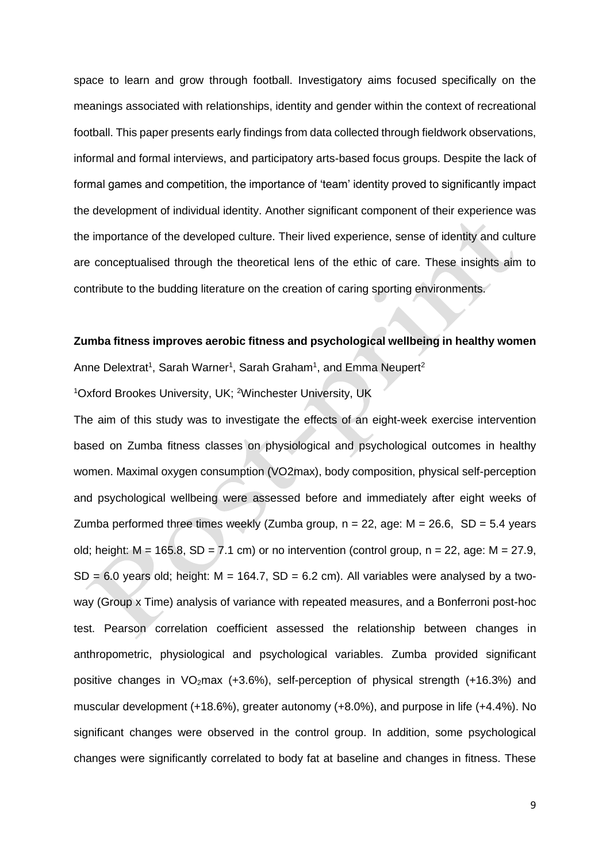space to learn and grow through football. Investigatory aims focused specifically on the meanings associated with relationships, identity and gender within the context of recreational football. This paper presents early findings from data collected through fieldwork observations, informal and formal interviews, and participatory arts-based focus groups. Despite the lack of formal games and competition, the importance of 'team' identity proved to significantly impact the development of individual identity. Another significant component of their experience was the importance of the developed culture. Their lived experience, sense of identity and culture are conceptualised through the theoretical lens of the ethic of care. These insights aim to contribute to the budding literature on the creation of caring sporting environments.

### **Zumba fitness improves aerobic fitness and psychological wellbeing in healthy women**

Anne Delextrat<sup>1</sup>, Sarah Warner<sup>1</sup>, Sarah Graham<sup>1</sup>, and Emma Neupert<sup>2</sup>

<sup>1</sup>*Oxford Brookes University, UK;* <sup>2</sup>*Winchester University, UK*

The aim of this study was to investigate the effects of an eight-week exercise intervention based on Zumba fitness classes on physiological and psychological outcomes in healthy women. Maximal oxygen consumption (VO2max), body composition, physical self-perception and psychological wellbeing were assessed before and immediately after eight weeks of Zumba performed three times weekly (Zumba group, *n* = 22, age: *M* = 26.6, *SD* = 5.4 years old; height: *M* = 165.8, *SD* = 7.1 cm) or no intervention (control group, *n* = 22, age: *M* = 27.9,  $SD = 6.0$  years old; height:  $M = 164.7$ ,  $SD = 6.2$  cm). All variables were analysed by a twoway (Group x Time) analysis of variance with repeated measures, and a Bonferroni post-hoc test. Pearson correlation coefficient assessed the relationship between changes in anthropometric, physiological and psychological variables. Zumba provided significant positive changes in  $VO<sub>2</sub>max$  (+3.6%), self-perception of physical strength (+16.3%) and muscular development (+18.6%), greater autonomy (+8.0%), and purpose in life (+4.4%). No significant changes were observed in the control group. In addition, some psychological changes were significantly correlated to body fat at baseline and changes in fitness. These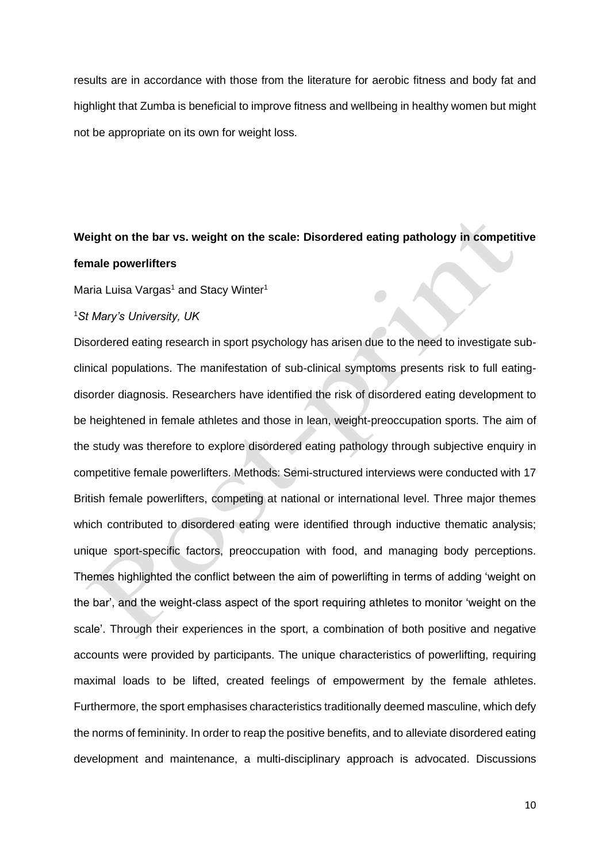results are in accordance with those from the literature for aerobic fitness and body fat and highlight that Zumba is beneficial to improve fitness and wellbeing in healthy women but might not be appropriate on its own for weight loss.

## **Weight on the bar vs. weight on the scale: Disordered eating pathology in competitive female powerlifters**

Maria Luisa Vargas<sup>1</sup> and Stacy Winter<sup>1</sup>

#### <sup>1</sup>*St Mary's University, UK*

Disordered eating research in sport psychology has arisen due to the need to investigate subclinical populations. The manifestation of sub-clinical symptoms presents risk to full eatingdisorder diagnosis. Researchers have identified the risk of disordered eating development to be heightened in female athletes and those in lean, weight-preoccupation sports. The aim of the study was therefore to explore disordered eating pathology through subjective enquiry in competitive female powerlifters. Methods: Semi-structured interviews were conducted with 17 British female powerlifters, competing at national or international level. Three major themes which contributed to disordered eating were identified through inductive thematic analysis; unique sport-specific factors, preoccupation with food, and managing body perceptions. Themes highlighted the conflict between the aim of powerlifting in terms of adding 'weight on the bar', and the weight-class aspect of the sport requiring athletes to monitor 'weight on the scale'. Through their experiences in the sport, a combination of both positive and negative accounts were provided by participants. The unique characteristics of powerlifting, requiring maximal loads to be lifted, created feelings of empowerment by the female athletes. Furthermore, the sport emphasises characteristics traditionally deemed masculine, which defy the norms of femininity. In order to reap the positive benefits, and to alleviate disordered eating development and maintenance, a multi-disciplinary approach is advocated. Discussions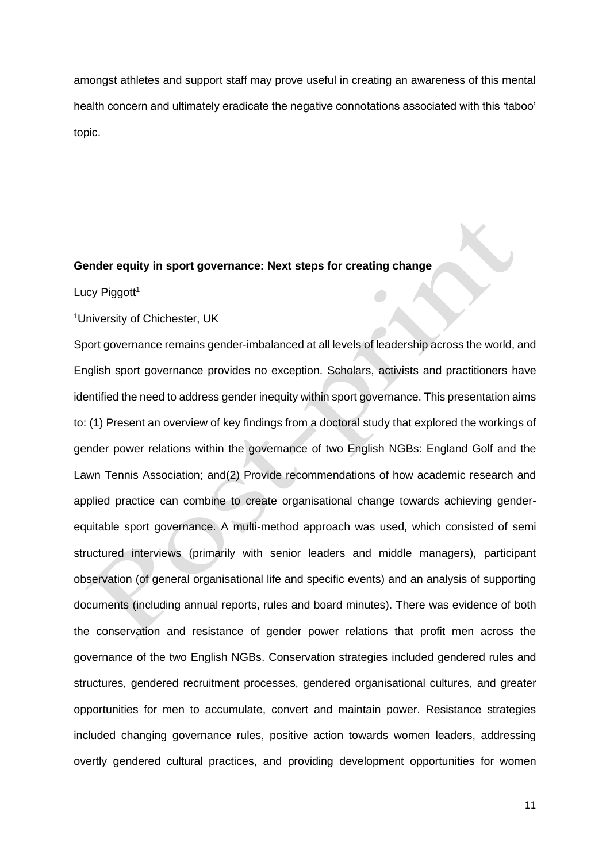amongst athletes and support staff may prove useful in creating an awareness of this mental health concern and ultimately eradicate the negative connotations associated with this 'taboo' topic.

#### **Gender equity in sport governance: Next steps for creating change**

Lucy Piggott<sup>1</sup>

<sup>1</sup>*University of Chichester, UK*

Sport governance remains gender-imbalanced at all levels of leadership across the world, and English sport governance provides no exception. Scholars, activists and practitioners have identified the need to address gender inequity within sport governance. This presentation aims to: (1) Present an overview of key findings from a doctoral study that explored the workings of gender power relations within the governance of two English NGBs: England Golf and the Lawn Tennis Association; and(2) Provide recommendations of how academic research and applied practice can combine to create organisational change towards achieving genderequitable sport governance. A multi-method approach was used, which consisted of semi structured interviews (primarily with senior leaders and middle managers), participant observation (of general organisational life and specific events) and an analysis of supporting documents (including annual reports, rules and board minutes). There was evidence of both the conservation and resistance of gender power relations that profit men across the governance of the two English NGBs. Conservation strategies included gendered rules and structures, gendered recruitment processes, gendered organisational cultures, and greater opportunities for men to accumulate, convert and maintain power. Resistance strategies included changing governance rules, positive action towards women leaders, addressing overtly gendered cultural practices, and providing development opportunities for women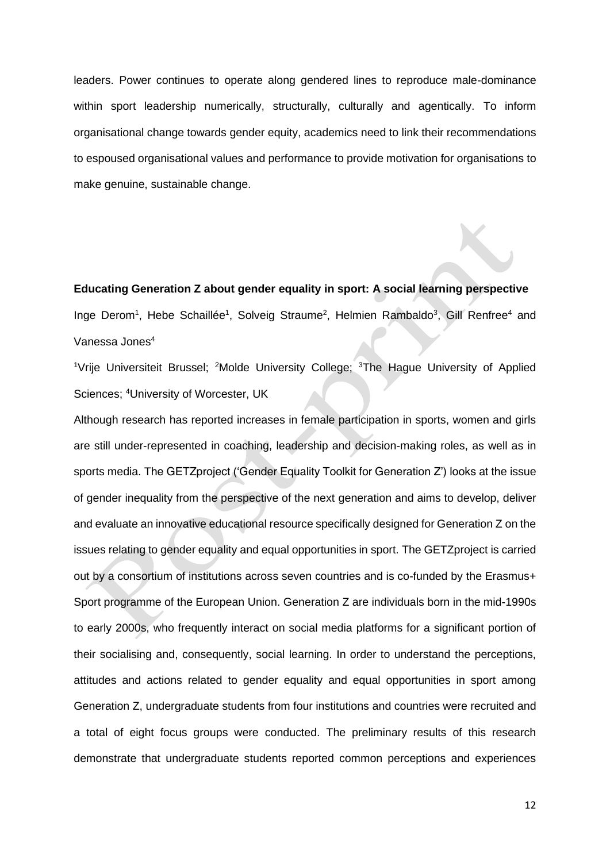leaders. Power continues to operate along gendered lines to reproduce male-dominance within sport leadership numerically, structurally, culturally and agentically. To inform organisational change towards gender equity, academics need to link their recommendations to espoused organisational values and performance to provide motivation for organisations to make genuine, sustainable change.

**Educating Generation Z about gender equality in sport: A social learning perspective** Inge Derom<sup>1</sup>, Hebe Schaillée<sup>1</sup>, Solveig Straume<sup>2</sup>, Helmien Rambaldo<sup>3</sup>, Gill Renfree<sup>4</sup> and Vanessa Jones<sup>4</sup>

<sup>1</sup>*Vrije Universiteit Brussel;* <sup>2</sup>*Molde University College;* <sup>3</sup>*The Hague University of Applied Sciences;* <sup>4</sup>*University of Worcester, UK*

Although research has reported increases in female participation in sports, women and girls are still under-represented in coaching, leadership and decision-making roles, as well as in sports media. The GETZproject ('Gender Equality Toolkit for Generation Z') looks at the issue of gender inequality from the perspective of the next generation and aims to develop, deliver and evaluate an innovative educational resource specifically designed for Generation Z on the issues relating to gender equality and equal opportunities in sport. The GETZproject is carried out by a consortium of institutions across seven countries and is co-funded by the Erasmus+ Sport programme of the European Union. Generation Z are individuals born in the mid-1990s to early 2000s, who frequently interact on social media platforms for a significant portion of their socialising and, consequently, social learning. In order to understand the perceptions, attitudes and actions related to gender equality and equal opportunities in sport among Generation Z, undergraduate students from four institutions and countries were recruited and a total of eight focus groups were conducted. The preliminary results of this research demonstrate that undergraduate students reported common perceptions and experiences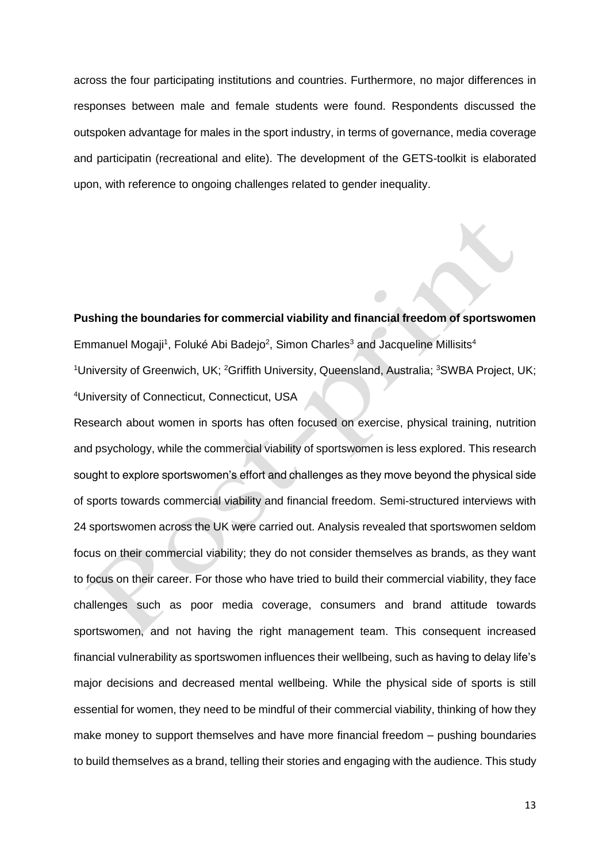across the four participating institutions and countries. Furthermore, no major differences in responses between male and female students were found. Respondents discussed the outspoken advantage for males in the sport industry, in terms of governance, media coverage and participatin (recreational and elite). The development of the GETS-toolkit is elaborated upon, with reference to ongoing challenges related to gender inequality.

**Pushing the boundaries for commercial viability and financial freedom of sportswomen**  Emmanuel Mogaji<sup>1</sup>, Foluké Abi Badejo<sup>2</sup>, Simon Charles<sup>3</sup> and Jacqueline Millisits<sup>4</sup> <sup>1</sup>*University of Greenwich, UK;* <sup>2</sup>*Griffith University, Queensland, Australia;* <sup>3</sup>*SWBA Project, UK;*  <sup>4</sup>*University of Connecticut, Connecticut, USA*

Research about women in sports has often focused on exercise, physical training, nutrition and psychology, while the commercial viability of sportswomen is less explored. This research sought to explore sportswomen's effort and challenges as they move beyond the physical side of sports towards commercial viability and financial freedom. Semi-structured interviews with 24 sportswomen across the UK were carried out. Analysis revealed that sportswomen seldom focus on their commercial viability; they do not consider themselves as brands, as they want to focus on their career. For those who have tried to build their commercial viability, they face challenges such as poor media coverage, consumers and brand attitude towards sportswomen, and not having the right management team. This consequent increased financial vulnerability as sportswomen influences their wellbeing, such as having to delay life's major decisions and decreased mental wellbeing. While the physical side of sports is still essential for women, they need to be mindful of their commercial viability, thinking of how they make money to support themselves and have more financial freedom – pushing boundaries to build themselves as a brand, telling their stories and engaging with the audience. This study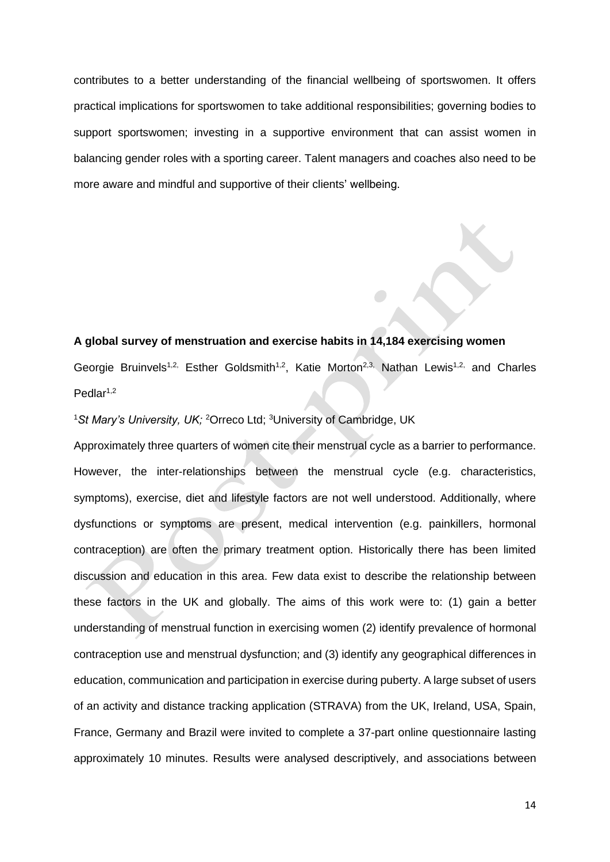contributes to a better understanding of the financial wellbeing of sportswomen. It offers practical implications for sportswomen to take additional responsibilities; governing bodies to support sportswomen; investing in a supportive environment that can assist women in balancing gender roles with a sporting career. Talent managers and coaches also need to be more aware and mindful and supportive of their clients' wellbeing.

### **A global survey of menstruation and exercise habits in 14,184 exercising women**

Georgie Bruinvels<sup>1,2,</sup> Esther Goldsmith<sup>1,2</sup>, Katie Morton<sup>2,3,</sup> Nathan Lewis<sup>1,2,</sup> and Charles  $Pedlar<sup>1,2</sup>$ 

<sup>1</sup>*St Mary's University, UK;* <sup>2</sup>*Orreco Ltd;* <sup>3</sup>*University of Cambridge, UK*

Approximately three quarters of women cite their menstrual cycle as a barrier to performance. However, the inter-relationships between the menstrual cycle (e.g. characteristics, symptoms), exercise, diet and lifestyle factors are not well understood. Additionally, where dysfunctions or symptoms are present, medical intervention (e.g. painkillers, hormonal contraception) are often the primary treatment option. Historically there has been limited discussion and education in this area. Few data exist to describe the relationship between these factors in the UK and globally. The aims of this work were to: (1) gain a better understanding of menstrual function in exercising women (2) identify prevalence of hormonal contraception use and menstrual dysfunction; and (3) identify any geographical differences in education, communication and participation in exercise during puberty. A large subset of users of an activity and distance tracking application (STRAVA) from the UK, Ireland, USA, Spain, France, Germany and Brazil were invited to complete a 37-part online questionnaire lasting approximately 10 minutes. Results were analysed descriptively, and associations between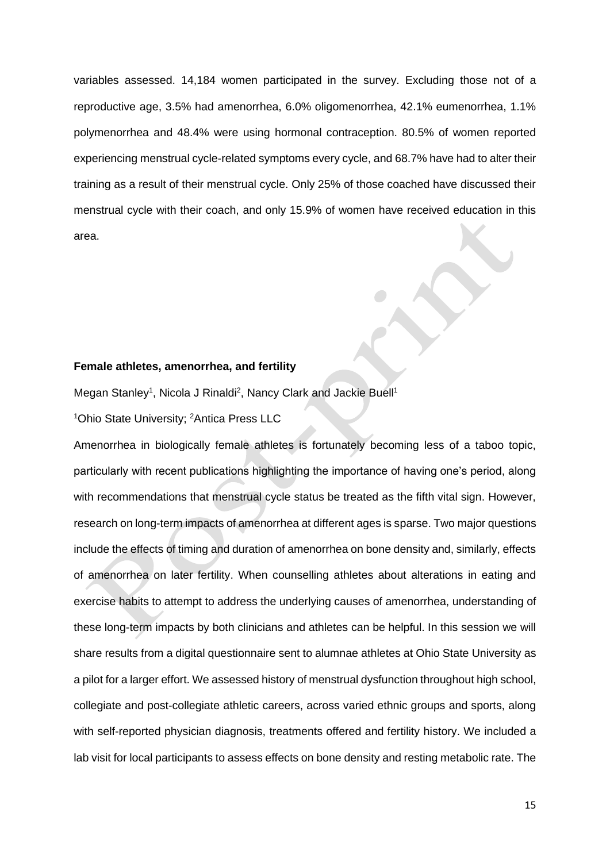variables assessed. 14,184 women participated in the survey. Excluding those not of a reproductive age, 3.5% had amenorrhea, 6.0% oligomenorrhea, 42.1% eumenorrhea, 1.1% polymenorrhea and 48.4% were using hormonal contraception. 80.5% of women reported experiencing menstrual cycle-related symptoms every cycle, and 68.7% have had to alter their training as a result of their menstrual cycle. Only 25% of those coached have discussed their menstrual cycle with their coach, and only 15.9% of women have received education in this area.

### **Female athletes, amenorrhea, and fertility**

Megan Stanley<sup>1</sup>, Nicola J Rinaldi<sup>2</sup>, Nancy Clark and Jackie Buell<sup>1</sup>

<sup>1</sup>*Ohio State University;* <sup>2</sup>*Antica Press LLC*

Amenorrhea in biologically female athletes is fortunately becoming less of a taboo topic, particularly with recent publications highlighting the importance of having one's period, along with recommendations that menstrual cycle status be treated as the fifth vital sign. However, research on long-term impacts of amenorrhea at different ages is sparse. Two major questions include the effects of timing and duration of amenorrhea on bone density and, similarly, effects of amenorrhea on later fertility. When counselling athletes about alterations in eating and exercise habits to attempt to address the underlying causes of amenorrhea, understanding of these long-term impacts by both clinicians and athletes can be helpful. In this session we will share results from a digital questionnaire sent to alumnae athletes at Ohio State University as a pilot for a larger effort. We assessed history of menstrual dysfunction throughout high school, collegiate and post-collegiate athletic careers, across varied ethnic groups and sports, along with self-reported physician diagnosis, treatments offered and fertility history. We included a lab visit for local participants to assess effects on bone density and resting metabolic rate. The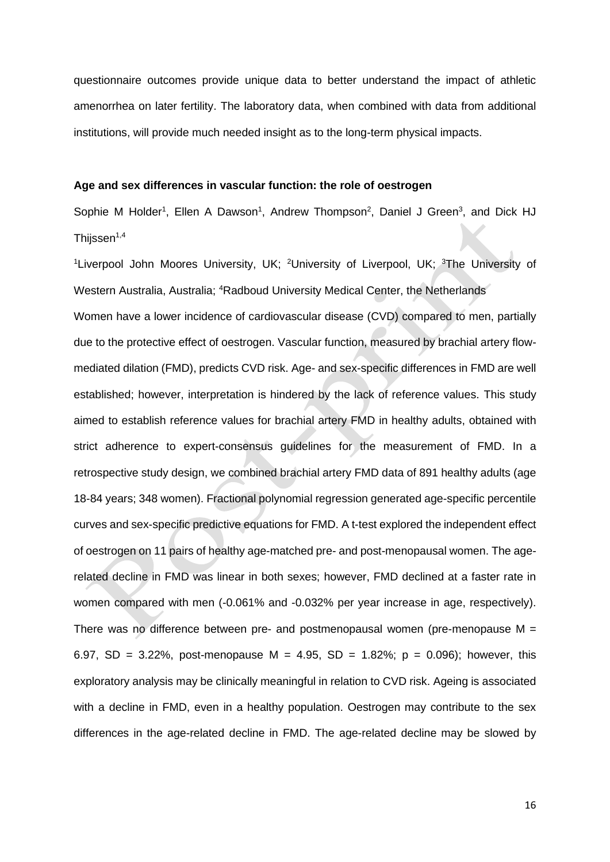questionnaire outcomes provide unique data to better understand the impact of athletic amenorrhea on later fertility. The laboratory data, when combined with data from additional institutions, will provide much needed insight as to the long-term physical impacts.

#### **Age and sex differences in vascular function: the role of oestrogen**

Sophie M Holder<sup>1</sup>, Ellen A Dawson<sup>1</sup>, Andrew Thompson<sup>2</sup>, Daniel J Green<sup>3</sup>, and Dick HJ Thijssen $1,4$ 

<sup>1</sup>*Liverpool John Moores University, UK;* <sup>2</sup>*University of Liverpool, UK;* <sup>3</sup>*The University of Western Australia, Australia;* <sup>4</sup>*Radboud University Medical Center, the Netherlands* Women have a lower incidence of cardiovascular disease (CVD) compared to men, partially due to the protective effect of oestrogen. Vascular function, measured by brachial artery flowmediated dilation (FMD), predicts CVD risk. Age- and sex-specific differences in FMD are well established; however, interpretation is hindered by the lack of reference values. This study aimed to establish reference values for brachial artery FMD in healthy adults, obtained with strict adherence to expert-consensus guidelines for the measurement of FMD. In a retrospective study design, we combined brachial artery FMD data of 891 healthy adults (age 18-84 years; 348 women). Fractional polynomial regression generated age-specific percentile curves and sex-specific predictive equations for FMD. A t-test explored the independent effect of oestrogen on 11 pairs of healthy age-matched pre- and post-menopausal women. The agerelated decline in FMD was linear in both sexes; however, FMD declined at a faster rate in women compared with men (-0.061% and -0.032% per year increase in age, respectively). There was no difference between pre- and postmenopausal women (pre-menopause *M* = 6.97, *SD* = 3.22%, post-menopause *M* = 4.95, *SD* = 1.82%; *p* = 0.096); however, this exploratory analysis may be clinically meaningful in relation to CVD risk. Ageing is associated with a decline in FMD, even in a healthy population. Oestrogen may contribute to the sex differences in the age-related decline in FMD. The age-related decline may be slowed by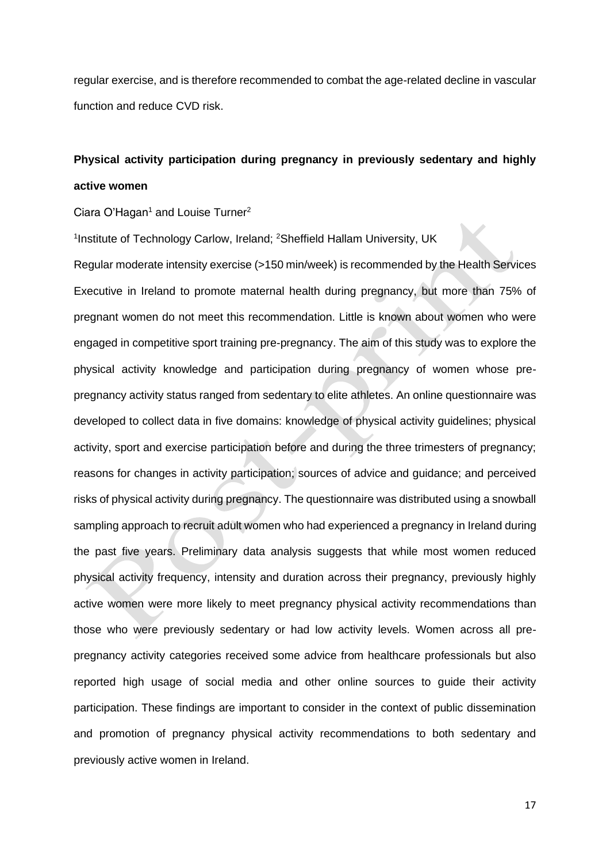regular exercise, and is therefore recommended to combat the age-related decline in vascular function and reduce CVD risk.

## **Physical activity participation during pregnancy in previously sedentary and highly active women**

Ciara O'Hagan<sup>1</sup> and Louise Turner<sup>2</sup>

1 *Institute of Technology Carlow, Ireland;* <sup>2</sup>*Sheffield Hallam University, UK*

Regular moderate intensity exercise (>150 min/week) is recommended by the Health Services Executive in Ireland to promote maternal health during pregnancy, but more than 75% of pregnant women do not meet this recommendation. Little is known about women who were engaged in competitive sport training pre-pregnancy. The aim of this study was to explore the physical activity knowledge and participation during pregnancy of women whose prepregnancy activity status ranged from sedentary to elite athletes. An online questionnaire was developed to collect data in five domains: knowledge of physical activity guidelines; physical activity, sport and exercise participation before and during the three trimesters of pregnancy; reasons for changes in activity participation; sources of advice and guidance; and perceived risks of physical activity during pregnancy. The questionnaire was distributed using a snowball sampling approach to recruit adult women who had experienced a pregnancy in Ireland during the past five years. Preliminary data analysis suggests that while most women reduced physical activity frequency, intensity and duration across their pregnancy, previously highly active women were more likely to meet pregnancy physical activity recommendations than those who were previously sedentary or had low activity levels. Women across all prepregnancy activity categories received some advice from healthcare professionals but also reported high usage of social media and other online sources to guide their activity participation. These findings are important to consider in the context of public dissemination and promotion of pregnancy physical activity recommendations to both sedentary and previously active women in Ireland.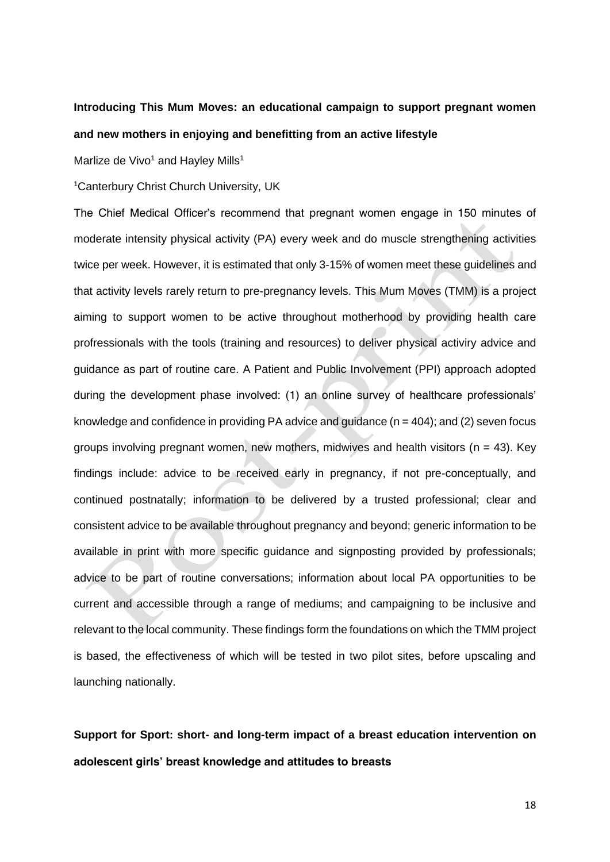## **Introducing This Mum Moves: an educational campaign to support pregnant women and new mothers in enjoying and benefitting from an active lifestyle**

Marlize de Vivo<sup>1</sup> and Hayley Mills<sup>1</sup>

<sup>1</sup>*Canterbury Christ Church University, UK*

The Chief Medical Officer's recommend that pregnant women engage in 150 minutes of moderate intensity physical activity (PA) every week and do muscle strengthening activities twice per week. However, it is estimated that only 3-15% of women meet these guidelines and that activity levels rarely return to pre-pregnancy levels. This Mum Moves (TMM) is a project aiming to support women to be active throughout motherhood by providing health care profressionals with the tools (training and resources) to deliver physical activiry advice and guidance as part of routine care. A Patient and Public Involvement (PPI) approach adopted during the development phase involved: (1) an online survey of healthcare professionals' knowledge and confidence in providing PA advice and guidance (*n* = 404); and (2) seven focus groups involving pregnant women, new mothers, midwives and health visitors (*n* = 43). Key findings include: advice to be received early in pregnancy, if not pre-conceptually, and continued postnatally; information to be delivered by a trusted professional; clear and consistent advice to be available throughout pregnancy and beyond; generic information to be available in print with more specific guidance and signposting provided by professionals; advice to be part of routine conversations; information about local PA opportunities to be current and accessible through a range of mediums; and campaigning to be inclusive and relevant to the local community. These findings form the foundations on which the TMM project is based, the effectiveness of which will be tested in two pilot sites, before upscaling and launching nationally.

**Support for Sport: short- and long-term impact of a breast education intervention on adolescent girls' breast knowledge and attitudes to breasts**

18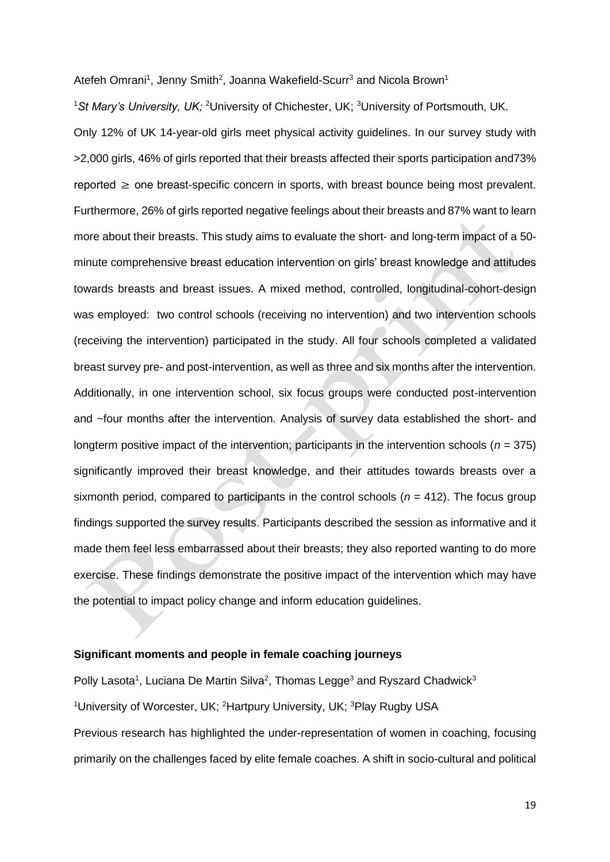Atefeh Omrani<sup>1</sup>, Jenny Smith<sup>2</sup>, Joanna Wakefield-Scurr<sup>3</sup> and Nicola Brown<sup>1</sup>

<sup>1</sup>*St Mary's University, UK;* <sup>2</sup>*University of Chichester, UK;* <sup>3</sup>*University of Portsmouth, UK.* Only 12% of UK 14-year-old girls meet physical activity guidelines. In our survey study with >2,000 girls, 46% of girls reported that their breasts affected their sports participation and73% reported  $\geq$  one breast-specific concern in sports, with breast bounce being most prevalent. Furthermore, 26% of girls reported negative feelings about their breasts and 87% want to learn more about their breasts. This study aims to evaluate the short- and long-term impact of a 50 minute comprehensive breast education intervention on girls' breast knowledge and attitudes towards breasts and breast issues. A mixed method, controlled, longitudinal-cohort-design was employed: two control schools (receiving no intervention) and two intervention schools (receiving the intervention) participated in the study. All four schools completed a validated breast survey pre- and post-intervention, as well as three and six months after the intervention. Additionally, in one intervention school, six focus groups were conducted post-intervention and ~four months after the intervention. Analysis of survey data established the short- and longterm positive impact of the intervention; participants in the intervention schools ( $n = 375$ ) significantly improved their breast knowledge, and their attitudes towards breasts over a sixmonth period, compared to participants in the control schools (*n* = 412). The focus group findings supported the survey results. Participants described the session as informative and it made them feel less embarrassed about their breasts; they also reported wanting to do more exercise. These findings demonstrate the positive impact of the intervention which may have the potential to impact policy change and inform education guidelines.

#### **Significant moments and people in female coaching journeys**

Polly Lasota<sup>1</sup>, Luciana De Martin Silva<sup>2</sup>, Thomas Legge<sup>3</sup> and Ryszard Chadwick<sup>3</sup> <sup>1</sup>*University of Worcester, UK;* <sup>2</sup>*Hartpury University, UK;* <sup>3</sup>*Play Rugby USA* Previous research has highlighted the under-representation of women in coaching, focusing primarily on the challenges faced by elite female coaches. A shift in socio-cultural and political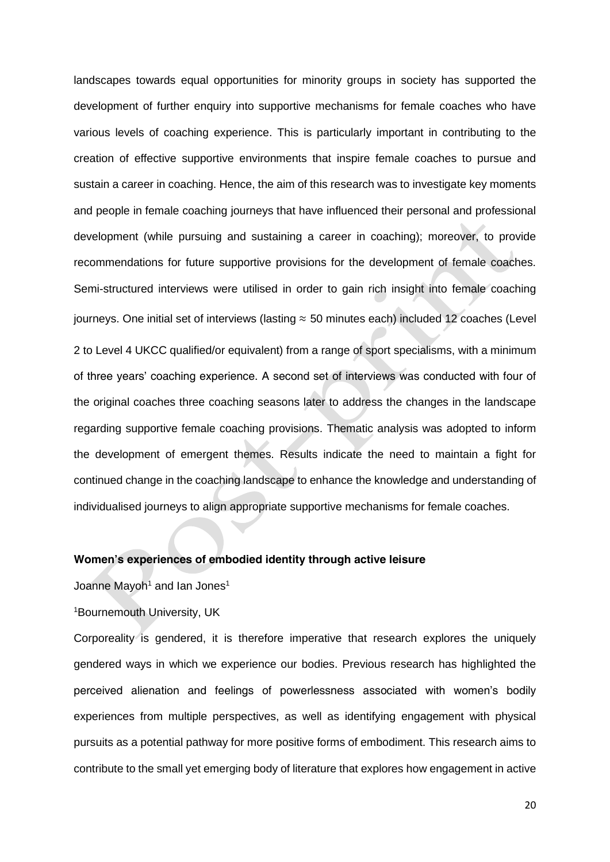landscapes towards equal opportunities for minority groups in society has supported the development of further enquiry into supportive mechanisms for female coaches who have various levels of coaching experience. This is particularly important in contributing to the creation of effective supportive environments that inspire female coaches to pursue and sustain a career in coaching. Hence, the aim of this research was to investigate key moments and people in female coaching journeys that have influenced their personal and professional development (while pursuing and sustaining a career in coaching); moreover, to provide recommendations for future supportive provisions for the development of female coaches. Semi-structured interviews were utilised in order to gain rich insight into female coaching journeys. One initial set of interviews (lasting ≈ 50 minutes each) included 12 coaches (Level 2 to Level 4 UKCC qualified/or equivalent) from a range of sport specialisms, with a minimum of three years' coaching experience. A second set of interviews was conducted with four of the original coaches three coaching seasons later to address the changes in the landscape regarding supportive female coaching provisions. Thematic analysis was adopted to inform the development of emergent themes. Results indicate the need to maintain a fight for continued change in the coaching landscape to enhance the knowledge and understanding of individualised journeys to align appropriate supportive mechanisms for female coaches.

#### **Women's experiences of embodied identity through active leisure**

Joanne Mayoh<sup>1</sup> and Ian Jones<sup>1</sup>

#### <sup>1</sup>*Bournemouth University, UK*

Corporeality is gendered, it is therefore imperative that research explores the uniquely gendered ways in which we experience our bodies. Previous research has highlighted the perceived alienation and feelings of powerlessness associated with women's bodily experiences from multiple perspectives, as well as identifying engagement with physical pursuits as a potential pathway for more positive forms of embodiment. This research aims to contribute to the small yet emerging body of literature that explores how engagement in active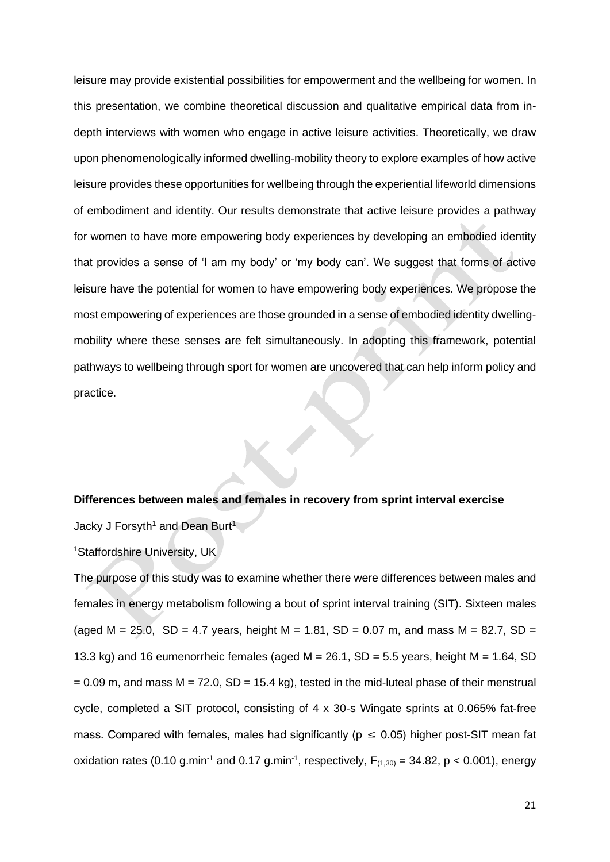leisure may provide existential possibilities for empowerment and the wellbeing for women. In this presentation, we combine theoretical discussion and qualitative empirical data from indepth interviews with women who engage in active leisure activities. Theoretically, we draw upon phenomenologically informed dwelling-mobility theory to explore examples of how active leisure provides these opportunities for wellbeing through the experiential lifeworld dimensions of embodiment and identity. Our results demonstrate that active leisure provides a pathway for women to have more empowering body experiences by developing an embodied identity that provides a sense of 'I am my body' or 'my body can'. We suggest that forms of active leisure have the potential for women to have empowering body experiences. We propose the most empowering of experiences are those grounded in a sense of embodied identity dwellingmobility where these senses are felt simultaneously. In adopting this framework, potential pathways to wellbeing through sport for women are uncovered that can help inform policy and practice.

#### **Differences between males and females in recovery from sprint interval exercise**

Jacky J Forsyth<sup>1</sup> and Dean Burt<sup>1</sup>

*<sup>1</sup>Staffordshire University, UK*

The purpose of this study was to examine whether there were differences between males and females in energy metabolism following a bout of sprint interval training (SIT). Sixteen males (aged *M* = 25.0, *SD* = 4.7 years, height *M* = 1.81, *SD* = 0.07 m, and mass *M* = 82.7, *SD* = 13.3 kg) and 16 eumenorrheic females (aged *M* = 26.1, *SD* = 5.5 years, height *M* = 1.64, *SD*  $= 0.09$  m, and mass  $M = 72.0$ ,  $SD = 15.4$  kg), tested in the mid-luteal phase of their menstrual cycle, completed a SIT protocol, consisting of 4 x 30-s Wingate sprints at 0.065% fat-free mass. Compared with females, males had significantly ( $p \le 0.05$ ) higher post-SIT mean fat oxidation rates (0.10 g.min<sup>-1</sup> and 0.17 g.min<sup>-1</sup>, respectively,  $F_{(1,30)} = 34.82$ ,  $p < 0.001$ ), energy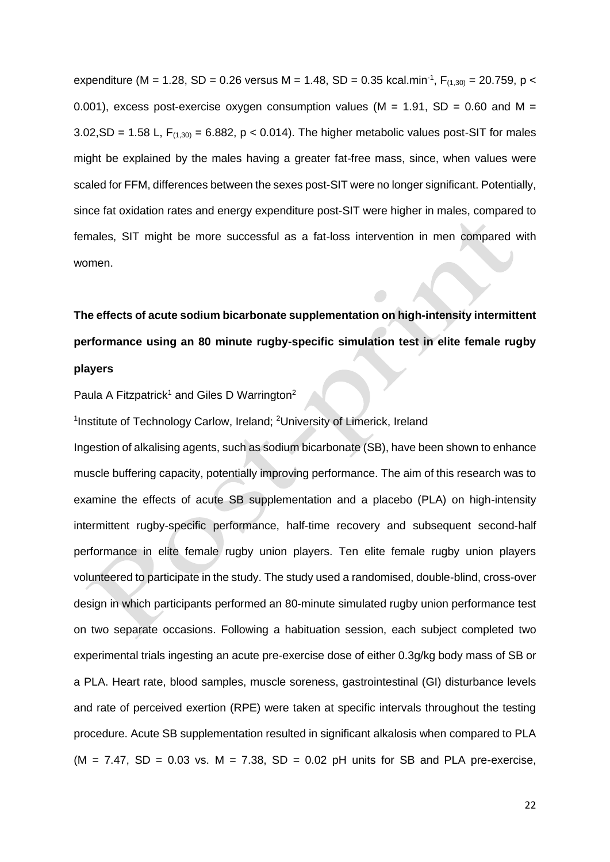expenditure (M = 1.28, SD = 0.26 versus M = 1.48, SD = 0.35 kcal.min<sup>-1</sup>, F<sub>(1,30)</sub> = 20.759, p < 0.001), excess post-exercise oxygen consumption values (*M* = 1.91, *SD* = 0.60 and *M* =  $3.02$ , SD = 1.58 L,  $F_{(1,30)}$  = 6.882,  $p < 0.014$ ). The higher metabolic values post-SIT for males might be explained by the males having a greater fat-free mass, since, when values were scaled for FFM, differences between the sexes post-SIT were no longer significant. Potentially, since fat oxidation rates and energy expenditure post-SIT were higher in males, compared to females, SIT might be more successful as a fat-loss intervention in men compared with women.

# **The effects of acute sodium bicarbonate supplementation on high-intensity intermittent performance using an 80 minute rugby-specific simulation test in elite female rugby players**

Paula A Fitzpatrick<sup>1</sup> and Giles D Warrington<sup>2</sup>

1 *Institute of Technology Carlow, Ireland;* <sup>2</sup>*University of Limerick, Ireland*

Ingestion of alkalising agents, such as sodium bicarbonate (SB), have been shown to enhance muscle buffering capacity, potentially improving performance. The aim of this research was to examine the effects of acute SB supplementation and a placebo (PLA) on high-intensity intermittent rugby-specific performance, half-time recovery and subsequent second-half performance in elite female rugby union players. Ten elite female rugby union players volunteered to participate in the study. The study used a randomised, double-blind, cross-over design in which participants performed an 80-minute simulated rugby union performance test on two separate occasions. Following a habituation session, each subject completed two experimental trials ingesting an acute pre-exercise dose of either 0.3g/kg body mass of SB or a PLA. Heart rate, blood samples, muscle soreness, gastrointestinal (GI) disturbance levels and rate of perceived exertion (RPE) were taken at specific intervals throughout the testing procedure. Acute SB supplementation resulted in significant alkalosis when compared to PLA (*M* = 7.47, *SD* = 0.03 vs. *M* = 7.38, *SD* = 0.02 pH units for SB and PLA pre-exercise,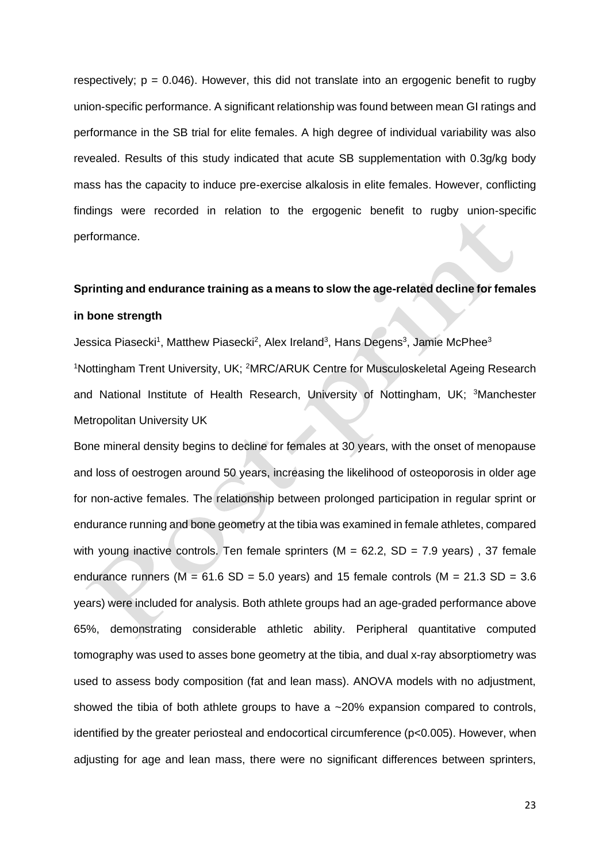respectively; *p* = 0.046). However, this did not translate into an ergogenic benefit to rugby union-specific performance. A significant relationship was found between mean GI ratings and performance in the SB trial for elite females. A high degree of individual variability was also revealed. Results of this study indicated that acute SB supplementation with 0.3g/kg body mass has the capacity to induce pre-exercise alkalosis in elite females. However, conflicting findings were recorded in relation to the ergogenic benefit to rugby union-specific performance.

## **Sprinting and endurance training as a means to slow the age-related decline for females in bone strength**

Jessica Piasecki<sup>1</sup>, Matthew Piasecki<sup>2</sup>, Alex Ireland<sup>3</sup>, Hans Degens<sup>3</sup>, Jamie McPhee<sup>3</sup> <sup>1</sup>*Nottingham Trent University, UK;* <sup>2</sup>*MRC/ARUK Centre for Musculoskeletal Ageing Research and National Institute of Health Research, University of Nottingham, UK;* <sup>3</sup>*Manchester Metropolitan University UK*

Bone mineral density begins to decline for females at 30 years, with the onset of menopause and loss of oestrogen around 50 years, increasing the likelihood of osteoporosis in older age for non-active females. The relationship between prolonged participation in regular sprint or endurance running and bone geometry at the tibia was examined in female athletes, compared with young inactive controls. Ten female sprinters (M = 62.2, SD = 7.9 years), 37 female endurance runners ( $M = 61.6$  SD = 5.0 years) and 15 female controls ( $M = 21.3$  SD = 3.6 years) were included for analysis. Both athlete groups had an age-graded performance above 65%, demonstrating considerable athletic ability. Peripheral quantitative computed tomography was used to asses bone geometry at the tibia, and dual x-ray absorptiometry was used to assess body composition (fat and lean mass). ANOVA models with no adjustment, showed the tibia of both athlete groups to have a ~20% expansion compared to controls, identified by the greater periosteal and endocortical circumference (p<0.005). However, when adjusting for age and lean mass, there were no significant differences between sprinters,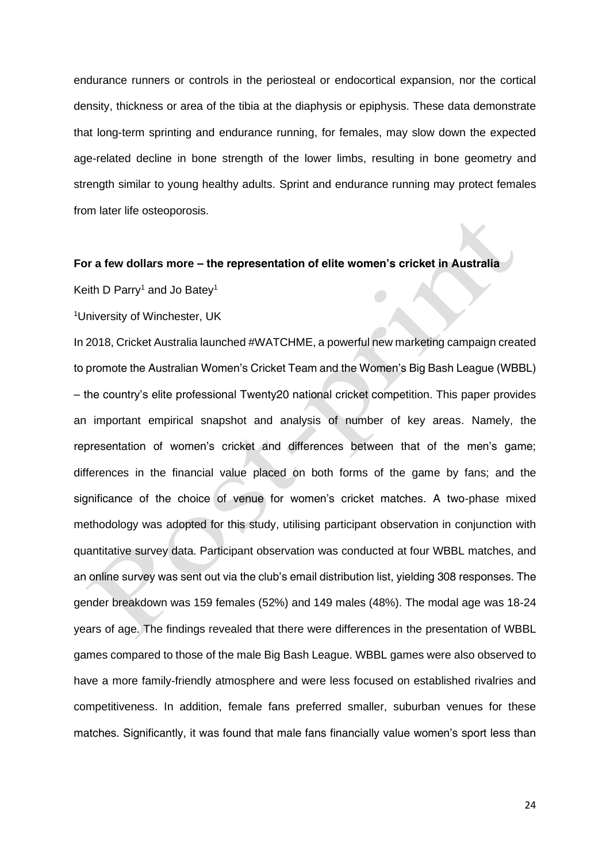endurance runners or controls in the periosteal or endocortical expansion, nor the cortical density, thickness or area of the tibia at the diaphysis or epiphysis. These data demonstrate that long-term sprinting and endurance running, for females, may slow down the expected age-related decline in bone strength of the lower limbs, resulting in bone geometry and strength similar to young healthy adults. Sprint and endurance running may protect females from later life osteoporosis.

### **For a few dollars more – the representation of elite women's cricket in Australia**

Keith D Parry<sup>1</sup> and Jo Batey<sup>1</sup>

<sup>1</sup>*University of Winchester, UK*

In 2018, Cricket Australia launched #WATCHME, a powerful new marketing campaign created to promote the Australian Women's Cricket Team and the Women's Big Bash League (WBBL) – the country's elite professional Twenty20 national cricket competition. This paper provides an important empirical snapshot and analysis of number of key areas. Namely, the representation of women's cricket and differences between that of the men's game; differences in the financial value placed on both forms of the game by fans; and the significance of the choice of venue for women's cricket matches. A two-phase mixed methodology was adopted for this study, utilising participant observation in conjunction with quantitative survey data. Participant observation was conducted at four WBBL matches, and an online survey was sent out via the club's email distribution list, yielding 308 responses. The gender breakdown was 159 females (52%) and 149 males (48%). The modal age was 18-24 years of age. The findings revealed that there were differences in the presentation of WBBL games compared to those of the male Big Bash League. WBBL games were also observed to have a more family-friendly atmosphere and were less focused on established rivalries and competitiveness. In addition, female fans preferred smaller, suburban venues for these matches. Significantly, it was found that male fans financially value women's sport less than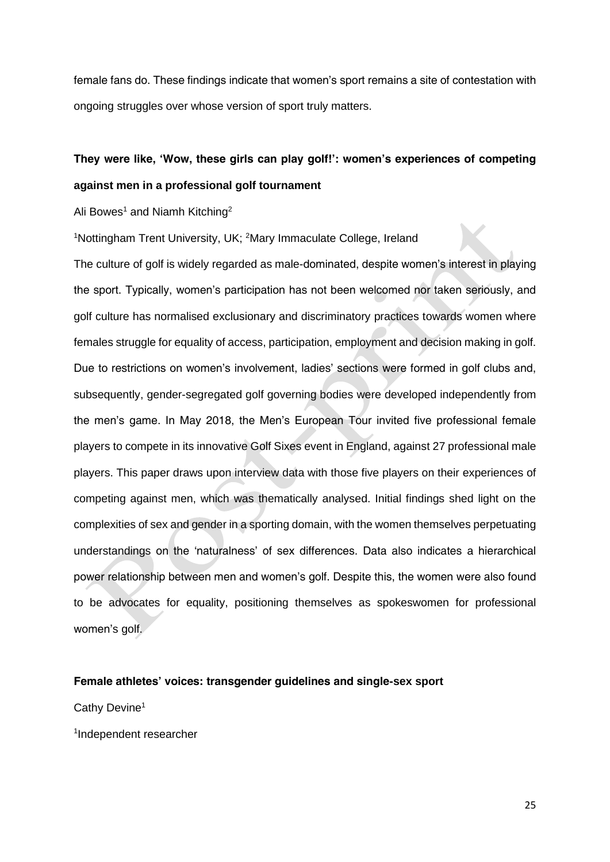female fans do. These findings indicate that women's sport remains a site of contestation with ongoing struggles over whose version of sport truly matters.

## **They were like, 'Wow, these girls can play golf!': women's experiences of competing against men in a professional golf tournament**

Ali Bowes<sup>1</sup> and Niamh Kitching<sup>2</sup>

<sup>1</sup>*Nottingham Trent University, UK;* <sup>2</sup>*Mary Immaculate College, Ireland*

The culture of golf is widely regarded as male-dominated, despite women's interest in playing the sport. Typically, women's participation has not been welcomed nor taken seriously, and golf culture has normalised exclusionary and discriminatory practices towards women where females struggle for equality of access, participation, employment and decision making in golf. Due to restrictions on women's involvement, ladies' sections were formed in golf clubs and, subsequently, gender-segregated golf governing bodies were developed independently from the men's game. In May 2018, the Men's European Tour invited five professional female players to compete in its innovative Golf Sixes event in England, against 27 professional male players. This paper draws upon interview data with those five players on their experiences of competing against men, which was thematically analysed. Initial findings shed light on the complexities of sex and gender in a sporting domain, with the women themselves perpetuating understandings on the 'naturalness' of sex differences. Data also indicates a hierarchical power relationship between men and women's golf. Despite this, the women were also found to be advocates for equality, positioning themselves as spokeswomen for professional women's golf.

### **Female athletes' voices: transgender guidelines and single-sex sport**

Cathy Devine<sup>1</sup>

1 *Independent researcher*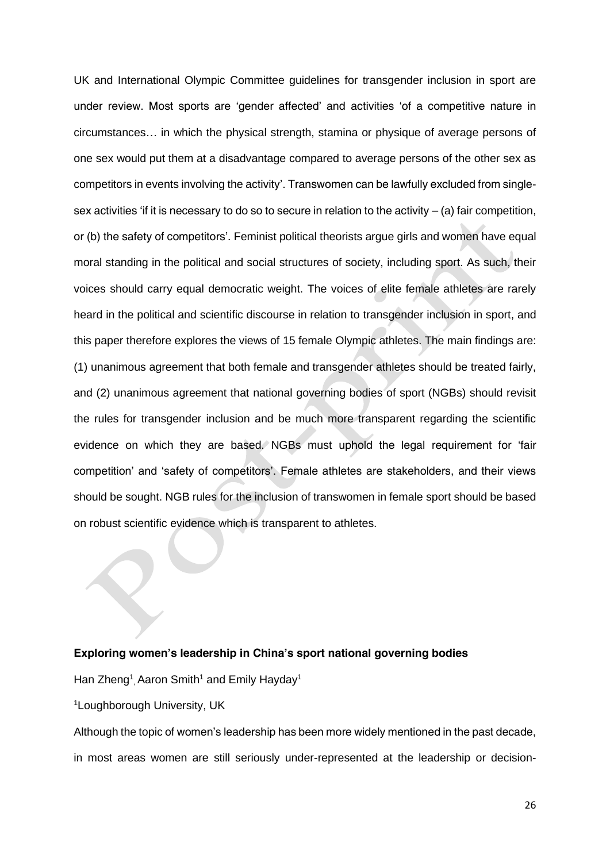UK and International Olympic Committee guidelines for transgender inclusion in sport are under review. Most sports are 'gender affected' and activities 'of a competitive nature in circumstances… in which the physical strength, stamina or physique of average persons of one sex would put them at a disadvantage compared to average persons of the other sex as competitors in events involving the activity'. Transwomen can be lawfully excluded from singlesex activities 'if it is necessary to do so to secure in relation to the activity  $-$  (a) fair competition, or (b) the safety of competitors'. Feminist political theorists argue girls and women have equal moral standing in the political and social structures of society, including sport. As such, their voices should carry equal democratic weight. The voices of elite female athletes are rarely heard in the political and scientific discourse in relation to transgender inclusion in sport, and this paper therefore explores the views of 15 female Olympic athletes. The main findings are: (1) unanimous agreement that both female and transgender athletes should be treated fairly, and (2) unanimous agreement that national governing bodies of sport (NGBs) should revisit the rules for transgender inclusion and be much more transparent regarding the scientific evidence on which they are based. NGBs must uphold the legal requirement for 'fair competition' and 'safety of competitors'. Female athletes are stakeholders, and their views should be sought. NGB rules for the inclusion of transwomen in female sport should be based on robust scientific evidence which is transparent to athletes.

#### **Exploring women's leadership in China's sport national governing bodies**

Han Zheng<sup>1</sup>, Aaron Smith<sup>1</sup> and Emily Hayday<sup>1</sup>

<sup>1</sup>*Loughborough University, UK*

Although the topic of women's leadership has been more widely mentioned in the past decade, in most areas women are still seriously under-represented at the leadership or decision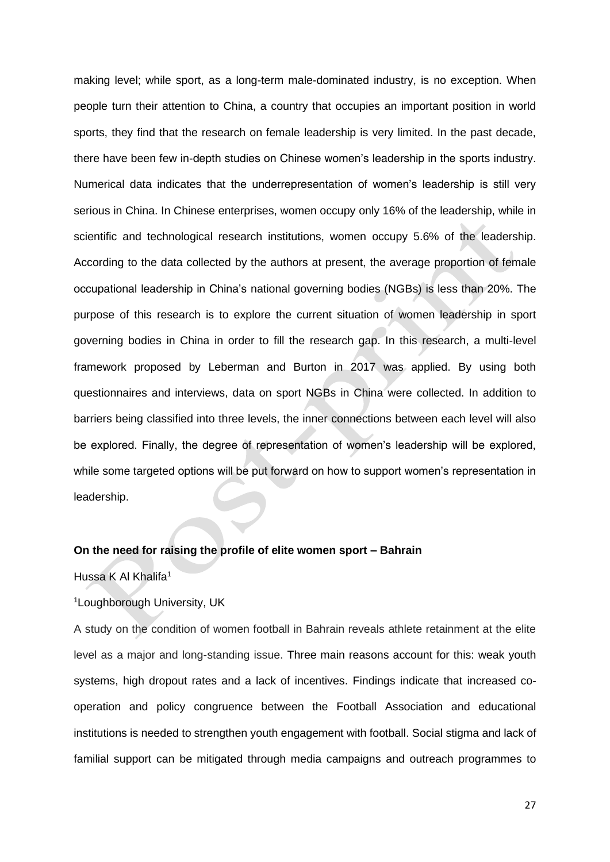making level; while sport, as a long-term male-dominated industry, is no exception. When people turn their attention to China, a country that occupies an important position in world sports, they find that the research on female leadership is very limited. In the past decade, there have been few in-depth studies on Chinese women's leadership in the sports industry. Numerical data indicates that the underrepresentation of women's leadership is still very serious in China. In Chinese enterprises, women occupy only 16% of the leadership, while in scientific and technological research institutions, women occupy 5.6% of the leadership. According to the data collected by the authors at present, the average proportion of female occupational leadership in China's national governing bodies (NGBs) is less than 20%. The purpose of this research is to explore the current situation of women leadership in sport governing bodies in China in order to fill the research gap. In this research, a multi-level framework proposed by Leberman and Burton in 2017 was applied. By using both questionnaires and interviews, data on sport NGBs in China were collected. In addition to barriers being classified into three levels, the inner connections between each level will also be explored. Finally, the degree of representation of women's leadership will be explored, while some targeted options will be put forward on how to support women's representation in leadership.

#### **On the need for raising the profile of elite women sport – Bahrain**

Hussa K Al Khalifa<sup>1</sup>

#### <sup>1</sup>*Loughborough University, UK*

A study on the condition of women football in Bahrain reveals athlete retainment at the elite level as a major and long-standing issue. Three main reasons account for this: weak youth systems, high dropout rates and a lack of incentives. Findings indicate that increased cooperation and policy congruence between the Football Association and educational institutions is needed to strengthen youth engagement with football. Social stigma and lack of familial support can be mitigated through media campaigns and outreach programmes to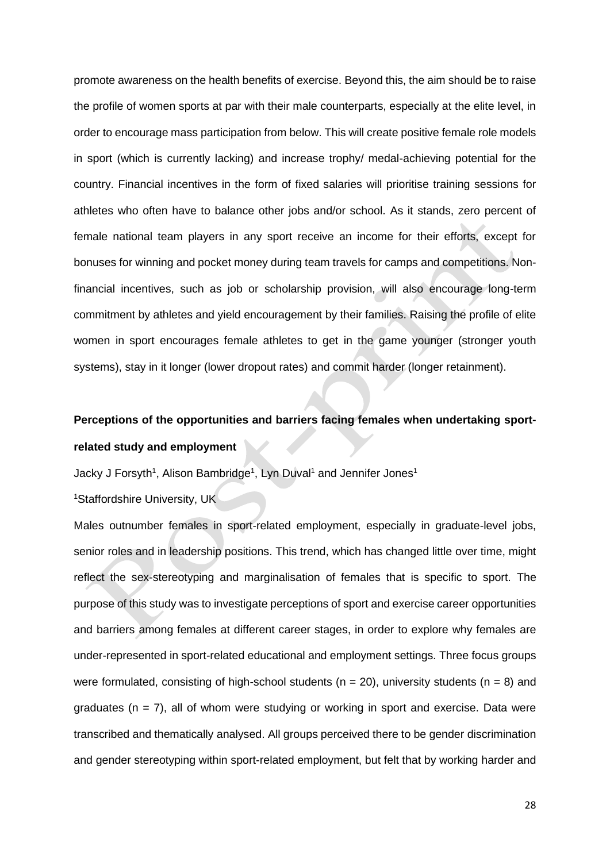promote awareness on the health benefits of exercise. Beyond this, the aim should be to raise the profile of women sports at par with their male counterparts, especially at the elite level, in order to encourage mass participation from below. This will create positive female role models in sport (which is currently lacking) and increase trophy/ medal-achieving potential for the country. Financial incentives in the form of fixed salaries will prioritise training sessions for athletes who often have to balance other jobs and/or school. As it stands, zero percent of female national team players in any sport receive an income for their efforts, except for bonuses for winning and pocket money during team travels for camps and competitions. Nonfinancial incentives, such as job or scholarship provision, will also encourage long-term commitment by athletes and yield encouragement by their families. Raising the profile of elite women in sport encourages female athletes to get in the game younger (stronger youth systems), stay in it longer (lower dropout rates) and commit harder (longer retainment).

# **Perceptions of the opportunities and barriers facing females when undertaking sportrelated study and employment**

Jacky J Forsyth<sup>1</sup>, Alison Bambridge<sup>1</sup>, Lyn Duval<sup>1</sup> and Jennifer Jones<sup>1</sup>

<sup>1</sup>*Staffordshire University, UK*

Males outnumber females in sport-related employment, especially in graduate-level jobs, senior roles and in leadership positions. This trend, which has changed little over time, might reflect the sex-stereotyping and marginalisation of females that is specific to sport. The purpose of this study was to investigate perceptions of sport and exercise career opportunities and barriers among females at different career stages, in order to explore why females are under-represented in sport-related educational and employment settings. Three focus groups were formulated, consisting of high-school students (*n* = 20), university students (*n* = 8) and graduates (*n* = 7), all of whom were studying or working in sport and exercise. Data were transcribed and thematically analysed. All groups perceived there to be gender discrimination and gender stereotyping within sport-related employment, but felt that by working harder and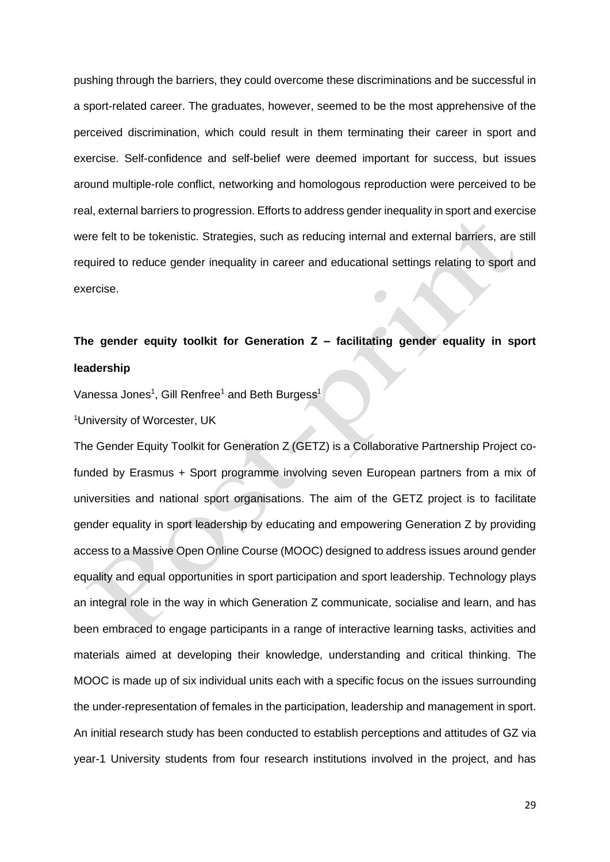pushing through the barriers, they could overcome these discriminations and be successful in a sport-related career. The graduates, however, seemed to be the most apprehensive of the perceived discrimination, which could result in them terminating their career in sport and exercise. Self-confidence and self-belief were deemed important for success, but issues around multiple-role conflict, networking and homologous reproduction were perceived to be real, external barriers to progression. Efforts to address gender inequality in sport and exercise were felt to be tokenistic. Strategies, such as reducing internal and external barriers, are still required to reduce gender inequality in career and educational settings relating to sport and exercise.

## **The gender equity toolkit for Generation Z – facilitating gender equality in sport leadership**

Vanessa Jones<sup>1</sup>, Gill Renfree<sup>1</sup> and Beth Burgess<sup>1</sup>

<sup>1</sup>*University of Worcester, UK*

The Gender Equity Toolkit for Generation Z (GETZ) is a Collaborative Partnership Project cofunded by Erasmus + Sport programme involving seven European partners from a mix of universities and national sport organisations. The aim of the GETZ project is to facilitate gender equality in sport leadership by educating and empowering Generation Z by providing access to a Massive Open Online Course (MOOC) designed to address issues around gender equality and equal opportunities in sport participation and sport leadership. Technology plays an integral role in the way in which Generation Z communicate, socialise and learn, and has been embraced to engage participants in a range of interactive learning tasks, activities and materials aimed at developing their knowledge, understanding and critical thinking. The MOOC is made up of six individual units each with a specific focus on the issues surrounding the under-representation of females in the participation, leadership and management in sport. An initial research study has been conducted to establish perceptions and attitudes of GZ via year-1 University students from four research institutions involved in the project, and has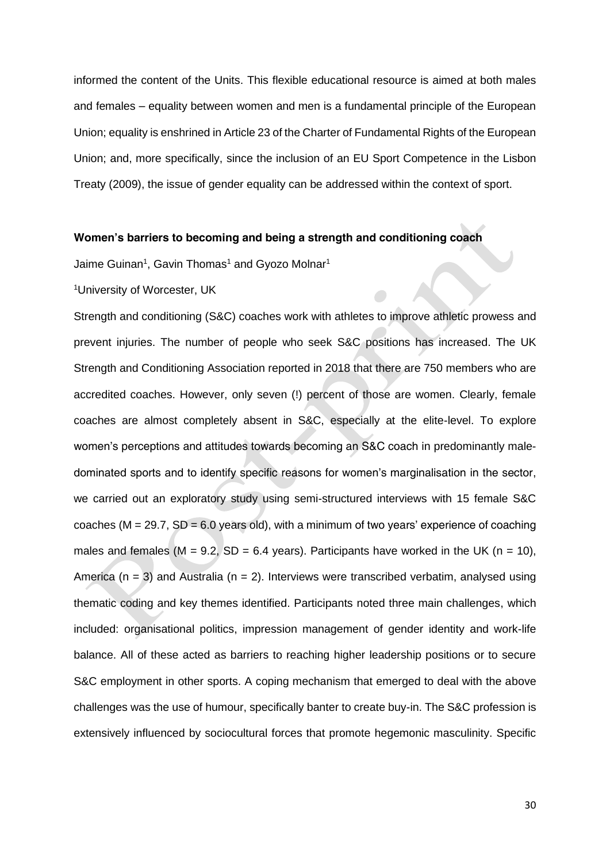informed the content of the Units. This flexible educational resource is aimed at both males and females – equality between women and men is a fundamental principle of the European Union; equality is enshrined in Article 23 of the Charter of Fundamental Rights of the European Union; and, more specifically, since the inclusion of an EU Sport Competence in the Lisbon Treaty (2009), the issue of gender equality can be addressed within the context of sport.

#### **Women's barriers to becoming and being a strength and conditioning coach**

Jaime Guinan<sup>1</sup>, Gavin Thomas<sup>1</sup> and Gyozo Molnar<sup>1</sup>

<sup>1</sup>*University of Worcester, UK*

Strength and conditioning (S&C) coaches work with athletes to improve athletic prowess and prevent injuries. The number of people who seek S&C positions has increased. The UK Strength and Conditioning Association reported in 2018 that there are 750 members who are accredited coaches. However, only seven (!) percent of those are women. Clearly, female coaches are almost completely absent in S&C, especially at the elite-level. To explore women's perceptions and attitudes towards becoming an S&C coach in predominantly maledominated sports and to identify specific reasons for women's marginalisation in the sector, we carried out an exploratory study using semi-structured interviews with 15 female S&C coaches (*M* = 29.7, *SD* = 6.0 years old), with a minimum of two years' experience of coaching males and females ( $M = 9.2$ ,  $SD = 6.4$  years). Participants have worked in the UK ( $n = 10$ ), America (*n* = 3) and Australia (*n* = 2). Interviews were transcribed verbatim, analysed using thematic coding and key themes identified. Participants noted three main challenges, which included: organisational politics, impression management of gender identity and work-life balance. All of these acted as barriers to reaching higher leadership positions or to secure S&C employment in other sports. A coping mechanism that emerged to deal with the above challenges was the use of humour, specifically banter to create buy-in. The S&C profession is extensively influenced by sociocultural forces that promote hegemonic masculinity. Specific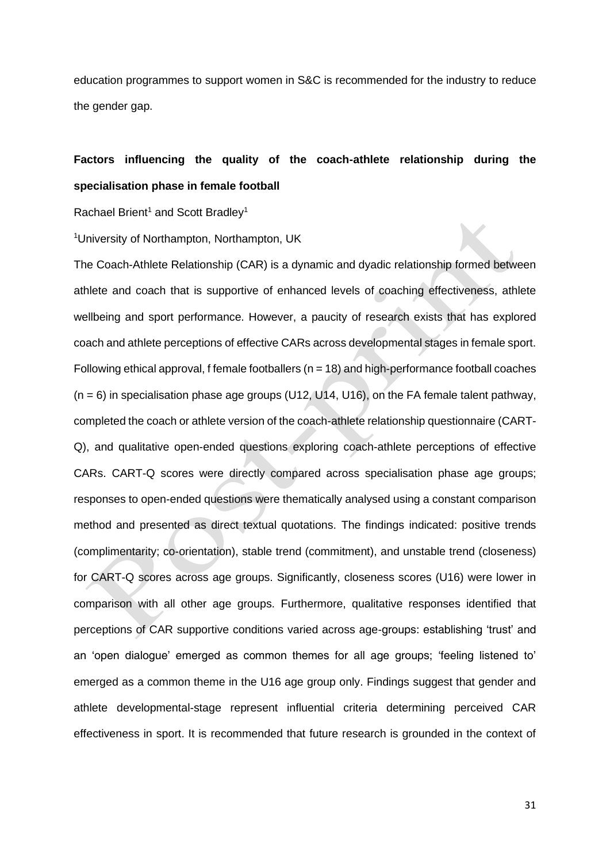education programmes to support women in S&C is recommended for the industry to reduce the gender gap.

## **Factors influencing the quality of the coach-athlete relationship during the specialisation phase in female football**

Rachael Brient<sup>1</sup> and Scott Bradley<sup>1</sup>

*<sup>1</sup>University of Northampton, Northampton, UK*

The Coach-Athlete Relationship (CAR) is a dynamic and dyadic relationship formed between athlete and coach that is supportive of enhanced levels of coaching effectiveness, athlete wellbeing and sport performance. However, a paucity of research exists that has explored coach and athlete perceptions of effective CARs across developmental stages in female sport. Following ethical approval, f female footballers (*n* = 18) and high-performance football coaches (*n* = 6) in specialisation phase age groups (U12, U14, U16), on the FA female talent pathway, completed the coach or athlete version of the coach-athlete relationship questionnaire (CART-Q), and qualitative open-ended questions exploring coach-athlete perceptions of effective CARs. CART-Q scores were directly compared across specialisation phase age groups; responses to open-ended questions were thematically analysed using a constant comparison method and presented as direct textual quotations. The findings indicated: positive trends (*complimentarity; co-orientation*), stable trend (*commitment*), and unstable trend (*closeness*) for CART-Q scores across age groups. Significantly, closeness scores (U16) were lower in comparison with all other age groups. Furthermore, qualitative responses identified that perceptions of CAR supportive conditions varied across age-groups: establishing 'trust' and an 'open dialogue' emerged as common themes for all age groups; 'feeling listened to' emerged as a common theme in the U16 age group only. Findings suggest that gender and athlete developmental-stage represent influential criteria determining perceived CAR effectiveness in sport. It is recommended that future research is grounded in the context of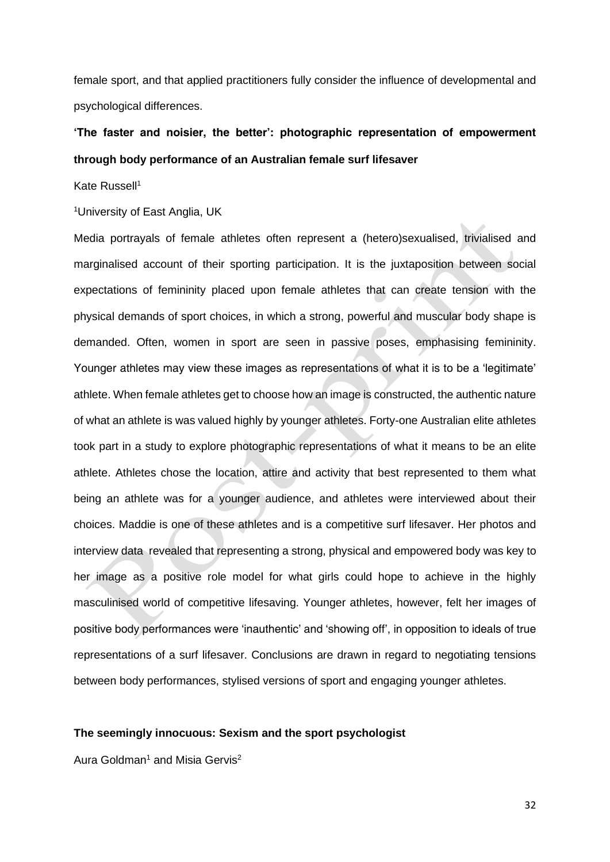female sport, and that applied practitioners fully consider the influence of developmental and psychological differences.

## **'The faster and noisier, the better': photographic representation of empowerment through body performance of an Australian female surf lifesaver**

Kate Russell<sup>1</sup>

<sup>1</sup>*University of East Anglia, UK*

Media portrayals of female athletes often represent a (hetero)sexualised, trivialised and marginalised account of their sporting participation. It is the juxtaposition between social expectations of femininity placed upon female athletes that can create tension with the physical demands of sport choices, in which a strong, powerful and muscular body shape is demanded. Often, women in sport are seen in passive poses, emphasising femininity. Younger athletes may view these images as representations of what it is to be a 'legitimate' athlete. When female athletes get to choose how an image is constructed, the authentic nature of what an athlete is was valued highly by younger athletes. Forty-one Australian elite athletes took part in a study to explore photographic representations of what it means to be an elite athlete. Athletes chose the location, attire and activity that best represented to them what being an athlete was for a younger audience, and athletes were interviewed about their choices. Maddie is one of these athletes and is a competitive surf lifesaver. Her photos and interview data revealed that representing a strong, physical and empowered body was key to her image as a positive role model for what girls could hope to achieve in the highly masculinised world of competitive lifesaving. Younger athletes, however, felt her images of positive body performances were 'inauthentic' and 'showing off', in opposition to ideals of true representations of a surf lifesaver. Conclusions are drawn in regard to negotiating tensions between body performances, stylised versions of sport and engaging younger athletes.

### **The seemingly innocuous: Sexism and the sport psychologist**

Aura Goldman<sup>1</sup> and Misia Gervis<sup>2</sup>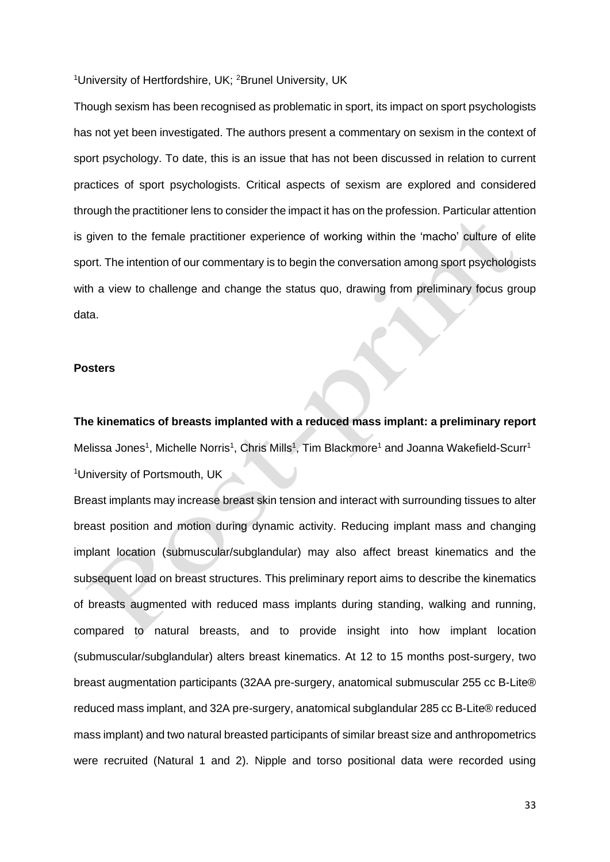<sup>1</sup>*University of Hertfordshire, UK;* <sup>2</sup>*Brunel University, UK*

Though sexism has been recognised as problematic in sport, its impact on sport psychologists has not yet been investigated. The authors present a commentary on sexism in the context of sport psychology. To date, this is an issue that has not been discussed in relation to current practices of sport psychologists. Critical aspects of sexism are explored and considered through the practitioner lens to consider the impact it has on the profession. Particular attention is given to the female practitioner experience of working within the 'macho' culture of elite sport. The intention of our commentary is to begin the conversation among sport psychologists with a view to challenge and change the status quo, drawing from preliminary focus group data.

#### **Posters**

**The kinematics of breasts implanted with a reduced mass implant: a preliminary report** Melissa Jones<sup>1</sup>, Michelle Norris<sup>1</sup>, Chris Mills<sup>1</sup>, Tim Blackmore<sup>1</sup> and Joanna Wakefield-Scurr<sup>1</sup> <sup>1</sup>*University of Portsmouth, UK*

Breast implants may increase breast skin tension and interact with surrounding tissues to alter breast position and motion during dynamic activity. Reducing implant mass and changing implant location (submuscular/subglandular) may also affect breast kinematics and the subsequent load on breast structures. This preliminary report aims to describe the kinematics of breasts augmented with reduced mass implants during standing, walking and running, compared to natural breasts, and to provide insight into how implant location (submuscular/subglandular) alters breast kinematics. At 12 to 15 months post-surgery, two breast augmentation participants (32AA pre-surgery, anatomical submuscular 255 cc B-Lite® reduced mass implant, and 32A pre-surgery, anatomical subglandular 285 cc B-Lite® reduced mass implant) and two natural breasted participants of similar breast size and anthropometrics were recruited (Natural 1 and 2). Nipple and torso positional data were recorded using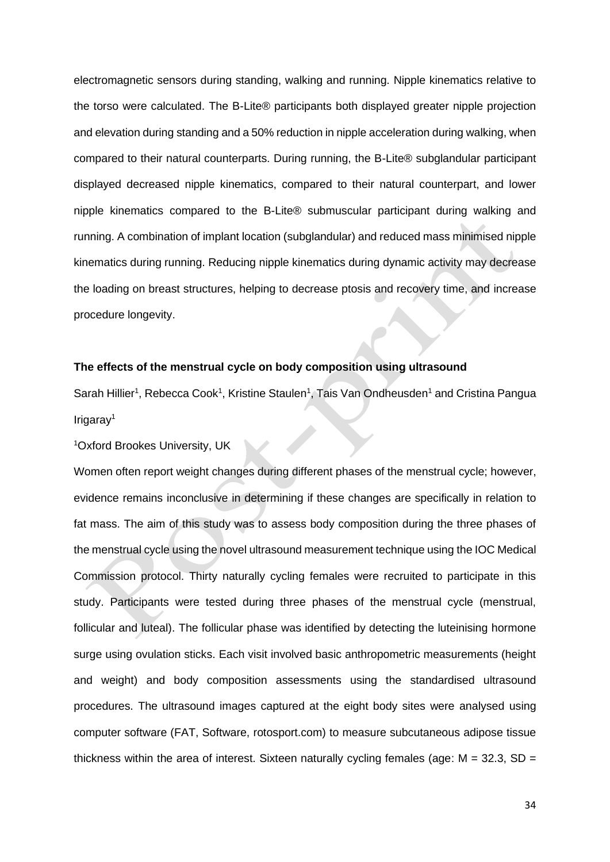electromagnetic sensors during standing, walking and running. Nipple kinematics relative to the torso were calculated. The B-Lite® participants both displayed greater nipple projection and elevation during standing and a 50% reduction in nipple acceleration during walking, when compared to their natural counterparts. During running, the B-Lite® subglandular participant displayed decreased nipple kinematics, compared to their natural counterpart, and lower nipple kinematics compared to the B-Lite® submuscular participant during walking and running. A combination of implant location (subglandular) and reduced mass minimised nipple kinematics during running. Reducing nipple kinematics during dynamic activity may decrease the loading on breast structures, helping to decrease ptosis and recovery time, and increase procedure longevity.

#### **The effects of the menstrual cycle on body composition using ultrasound**

Sarah Hillier<sup>1</sup>, Rebecca Cook<sup>1</sup>, Kristine Staulen<sup>1</sup>, Tais Van Ondheusden<sup>1</sup> and Cristina Pangua Irigaray<sup>1</sup>

<sup>1</sup>*Oxford Brookes University, UK*

Women often report weight changes during different phases of the menstrual cycle; however, evidence remains inconclusive in determining if these changes are specifically in relation to fat mass. The aim of this study was to assess body composition during the three phases of the menstrual cycle using the novel ultrasound measurement technique using the IOC Medical Commission protocol. Thirty naturally cycling females were recruited to participate in this study. Participants were tested during three phases of the menstrual cycle (menstrual, follicular and luteal). The follicular phase was identified by detecting the luteinising hormone surge using ovulation sticks. Each visit involved basic anthropometric measurements (height and weight) and body composition assessments using the standardised ultrasound procedures. The ultrasound images captured at the eight body sites were analysed using computer software (FAT, Software, rotosport.com) to measure subcutaneous adipose tissue thickness within the area of interest. Sixteen naturally cycling females (age: *M* = 32.3, *SD* =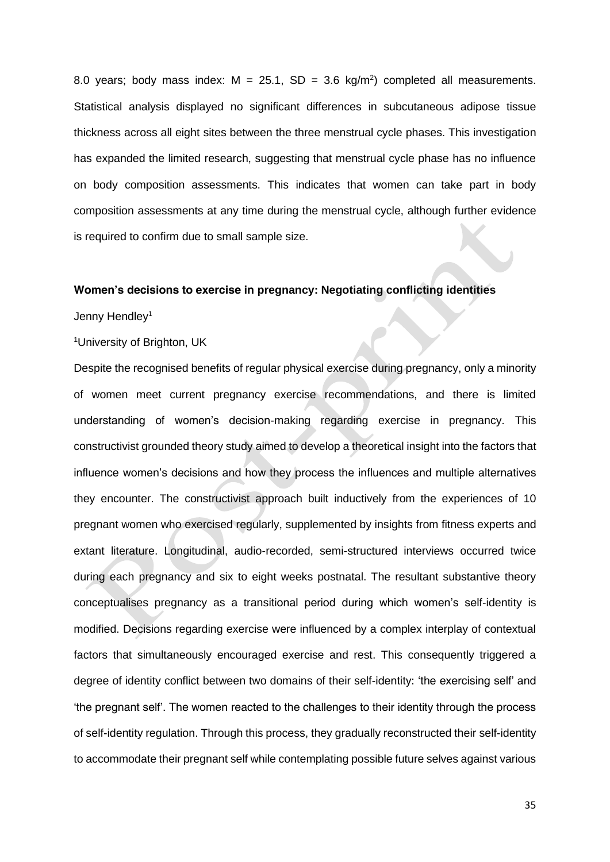8.0 years; body mass index:  $M = 25.1$ ,  $SD = 3.6$  kg/m<sup>2</sup>) completed all measurements. Statistical analysis displayed no significant differences in subcutaneous adipose tissue thickness across all eight sites between the three menstrual cycle phases. This investigation has expanded the limited research, suggesting that menstrual cycle phase has no influence on body composition assessments. This indicates that women can take part in body composition assessments at any time during the menstrual cycle, although further evidence is required to confirm due to small sample size.

#### **Women's decisions to exercise in pregnancy: Negotiating conflicting identities**

Jenny Hendley<sup>1</sup>

<sup>1</sup>*University of Brighton, UK*

Despite the recognised benefits of regular physical exercise during pregnancy, only a minority of women meet current pregnancy exercise recommendations, and there is limited understanding of women's decision-making regarding exercise in pregnancy. This constructivist grounded theory study aimed to develop a theoretical insight into the factors that influence women's decisions and how they process the influences and multiple alternatives they encounter. The constructivist approach built inductively from the experiences of 10 pregnant women who exercised regularly, supplemented by insights from fitness experts and extant literature. Longitudinal, audio-recorded, semi-structured interviews occurred twice during each pregnancy and six to eight weeks postnatal. The resultant substantive theory conceptualises pregnancy as a transitional period during which women's self-identity is modified. Decisions regarding exercise were influenced by a complex interplay of contextual factors that simultaneously encouraged exercise and rest. This consequently triggered a degree of identity conflict between two domains of their self-identity: 'the exercising self' and 'the pregnant self'. The women reacted to the challenges to their identity through the process of self-identity regulation. Through this process, they gradually reconstructed their self-identity to accommodate their pregnant self while contemplating possible future selves against various

35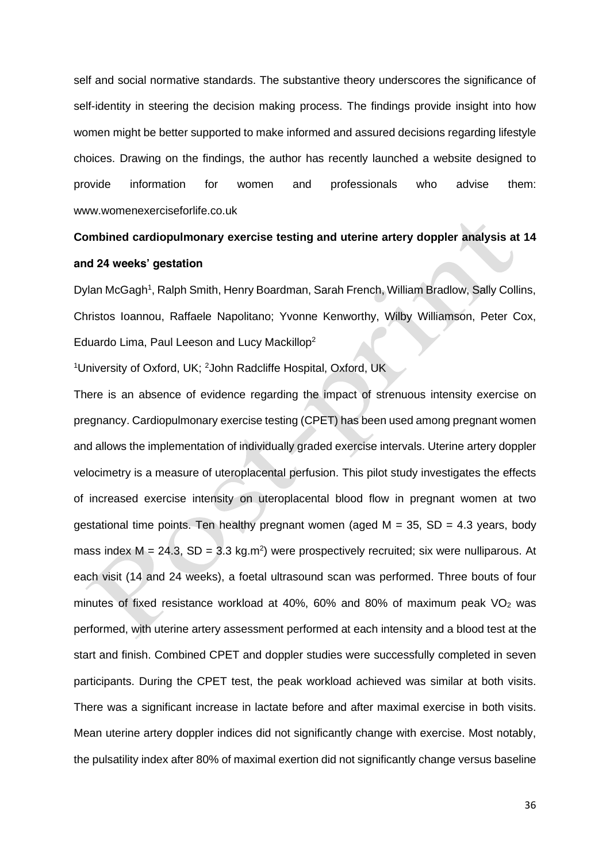self and social normative standards. The substantive theory underscores the significance of self-identity in steering the decision making process. The findings provide insight into how women might be better supported to make informed and assured decisions regarding lifestyle choices. Drawing on the findings, the author has recently launched a website designed to provide information for women and professionals who advise them: www.womenexerciseforlife.co.uk

## **Combined cardiopulmonary exercise testing and uterine artery doppler analysis at 14 and 24 weeks' gestation**

Dylan McGagh<sup>1</sup>, Ralph Smith, Henry Boardman, Sarah French, William Bradlow, Sally Collins, Christos Ioannou, Raffaele Napolitano; Yvonne Kenworthy, Wilby Williamson, Peter Cox, Eduardo Lima, Paul Leeson and Lucy Mackillop<sup>2</sup>

<sup>1</sup>*University of Oxford, UK;* <sup>2</sup>*John Radcliffe Hospital, Oxford, UK*

There is an absence of evidence regarding the impact of strenuous intensity exercise on pregnancy. Cardiopulmonary exercise testing (CPET) has been used among pregnant women and allows the implementation of individually graded exercise intervals. Uterine artery doppler velocimetry is a measure of uteroplacental perfusion. This pilot study investigates the effects of increased exercise intensity on uteroplacental blood flow in pregnant women at two gestational time points. Ten healthy pregnant women (aged *M* = 35, *SD* = 4.3 years, body mass index  $M = 24.3$ ,  $SD = 3.3$  kg.m<sup>2</sup>) were prospectively recruited; six were nulliparous. At each visit (14 and 24 weeks), a foetal ultrasound scan was performed. Three bouts of four minutes of fixed resistance workload at 40%, 60% and 80% of maximum peak  $VO<sub>2</sub>$  was performed, with uterine artery assessment performed at each intensity and a blood test at the start and finish. Combined CPET and doppler studies were successfully completed in seven participants. During the CPET test, the peak workload achieved was similar at both visits. There was a significant increase in lactate before and after maximal exercise in both visits. Mean uterine artery doppler indices did not significantly change with exercise. Most notably, the pulsatility index after 80% of maximal exertion did not significantly change versus baseline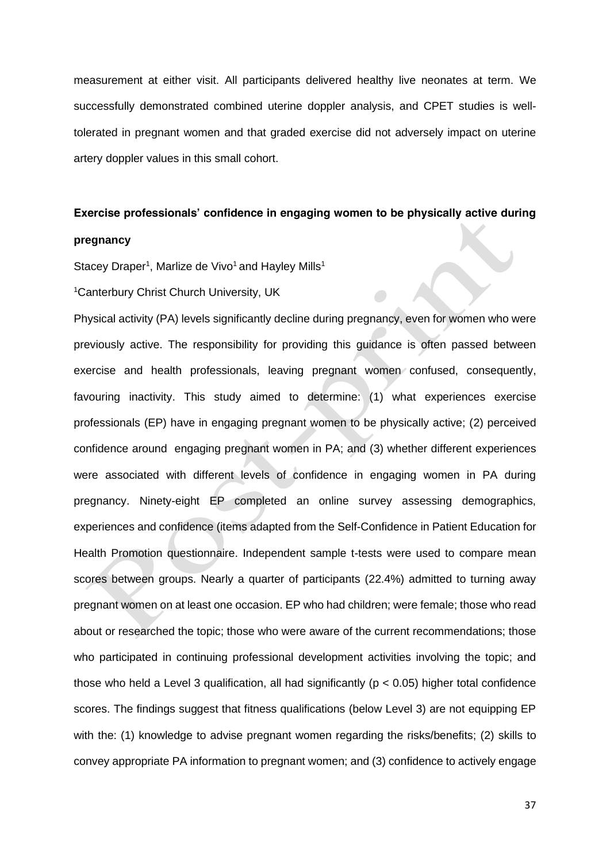measurement at either visit. All participants delivered healthy live neonates at term. We successfully demonstrated combined uterine doppler analysis, and CPET studies is welltolerated in pregnant women and that graded exercise did not adversely impact on uterine artery doppler values in this small cohort.

### **Exercise professionals' confidence in engaging women to be physically active during**

### **pregnancy**

Stacey Draper<sup>1</sup>, Marlize de Vivo<sup>1</sup> and Hayley Mills<sup>1</sup>

<sup>1</sup>*Canterbury Christ Church University, UK*

Physical activity (PA) levels significantly decline during pregnancy, even for women who were previously active. The responsibility for providing this guidance is often passed between exercise and health professionals, leaving pregnant women confused, consequently, favouring inactivity. This study aimed to determine: (1) what experiences exercise professionals (EP) have in engaging pregnant women to be physically active; (2) perceived confidence around engaging pregnant women in PA; and (3) whether different experiences were associated with different levels of confidence in engaging women in PA during pregnancy. Ninety-eight EP completed an online survey assessing demographics, experiences and confidence (items adapted from the Self-Confidence in Patient Education for Health Promotion questionnaire. Independent sample t-tests were used to compare mean scores between groups. Nearly a quarter of participants (22.4%) admitted to turning away pregnant women on at least one occasion. EP who had children; were female; those who read about or researched the topic; those who were aware of the current recommendations; those who participated in continuing professional development activities involving the topic; and those who held a Level 3 qualification, all had significantly ( $p < 0.05$ ) higher total confidence scores. The findings suggest that fitness qualifications (below Level 3) are not equipping EP with the: (1) knowledge to advise pregnant women regarding the risks/benefits; (2) skills to convey appropriate PA information to pregnant women; and (3) confidence to actively engage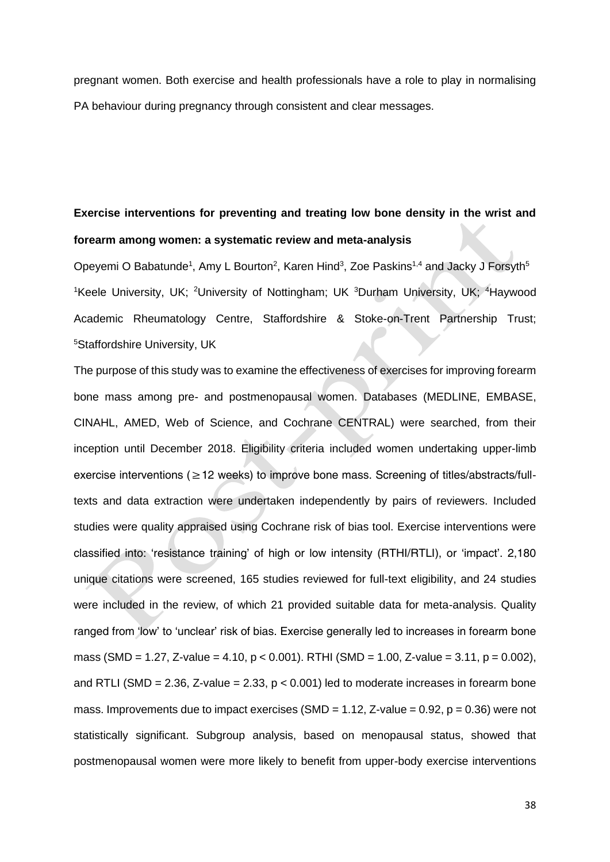pregnant women. Both exercise and health professionals have a role to play in normalising PA behaviour during pregnancy through consistent and clear messages.

## **Exercise interventions for preventing and treating low bone density in the wrist and forearm among women: a systematic review and meta-analysis**

Opeyemi O Babatunde<sup>1</sup>, Amy L Bourton<sup>2</sup>, Karen Hind<sup>3</sup>, Zoe Paskins<sup>1,4</sup> and Jacky J Forsyth<sup>5</sup> <sup>1</sup>*Keele University, UK; <sup>2</sup>University of Nottingham; UK* <sup>3</sup>*Durham University, UK;* <sup>4</sup>*Haywood Academic Rheumatology Centre, Staffordshire & Stoke-on-Trent Partnership Trust;*  <sup>5</sup>*Staffordshire University, UK*

The purpose of this study was to examine the effectiveness of exercises for improving forearm bone mass among pre- and postmenopausal women. Databases (MEDLINE, EMBASE, CINAHL, AMED, Web of Science, and Cochrane CENTRAL) were searched, from their inception until December 2018. Eligibility criteria included women undertaking upper-limb exercise interventions ( $\geq$  12 weeks) to improve bone mass. Screening of titles/abstracts/fulltexts and data extraction were undertaken independently by pairs of reviewers. Included studies were quality appraised using Cochrane risk of bias tool. Exercise interventions were classified into: 'resistance training' of high or low intensity (RTHI/RTLI), or 'impact'. 2,180 unique citations were screened, 165 studies reviewed for full-text eligibility, and 24 studies were included in the review, of which 21 provided suitable data for meta-analysis. Quality ranged from 'low' to 'unclear' risk of bias. Exercise generally led to increases in forearm bone mass (SMD = 1.27, Z-value = 4.10, *p* < 0.001). RTHI (SMD = 1.00, Z-value = 3.11, *p* = 0.002), and RTLI (SMD = 2.36, Z-value = 2.33, *p* < 0.001) led to moderate increases in forearm bone mass. Improvements due to impact exercises (SMD = 1.12, Z-value = 0.92, *p* = 0.36) were not statistically significant. Subgroup analysis, based on menopausal status, showed that postmenopausal women were more likely to benefit from upper-body exercise interventions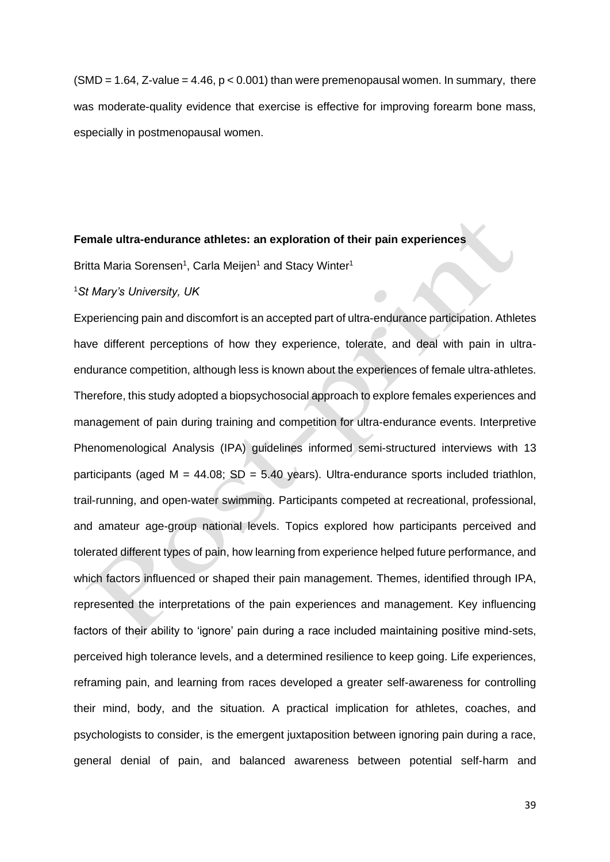(SMD = 1.64, Z-value = 4.46, *p* < 0.001) than were premenopausal women. In summary, there was moderate-quality evidence that exercise is effective for improving forearm bone mass, especially in postmenopausal women.

#### **Female ultra-endurance athletes: an exploration of their pain experiences**

Britta Maria Sorensen<sup>1</sup>, Carla Meijen<sup>1</sup> and Stacy Winter<sup>1</sup>

#### <sup>1</sup>*St Mary's University, UK*

Experiencing pain and discomfort is an accepted part of ultra-endurance participation. Athletes have different perceptions of how they experience, tolerate, and deal with pain in ultraendurance competition, although less is known about the experiences of female ultra-athletes. Therefore, this study adopted a biopsychosocial approach to explore females experiences and management of pain during training and competition for ultra-endurance events. Interpretive Phenomenological Analysis (IPA) guidelines informed semi-structured interviews with 13 participants (aged *M* = 44.08; *SD* = 5.40 years). Ultra-endurance sports included triathlon, trail-running, and open-water swimming. Participants competed at recreational, professional, and amateur age-group national levels. Topics explored how participants perceived and tolerated different types of pain, how learning from experience helped future performance, and which factors influenced or shaped their pain management. Themes, identified through IPA, represented the interpretations of the pain experiences and management. Key influencing factors of their ability to 'ignore' pain during a race included maintaining positive mind-sets, perceived high tolerance levels, and a determined resilience to keep going. Life experiences, reframing pain, and learning from races developed a greater self-awareness for controlling their mind, body, and the situation. A practical implication for athletes, coaches, and psychologists to consider, is the emergent juxtaposition between ignoring pain during a race, general denial of pain, and balanced awareness between potential self-harm and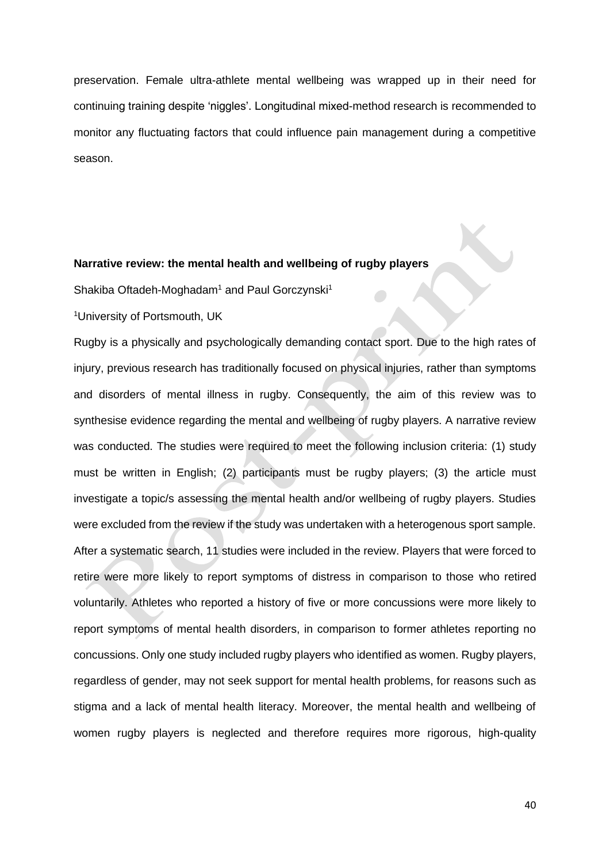preservation. Female ultra-athlete mental wellbeing was wrapped up in their need for continuing training despite 'niggles'. Longitudinal mixed-method research is recommended to monitor any fluctuating factors that could influence pain management during a competitive season.

### **Narrative review: the mental health and wellbeing of rugby players**

Shakiba Oftadeh-Moghadam<sup>1</sup> and Paul Gorczynski<sup>1</sup>

<sup>1</sup>*University of Portsmouth, UK*

Rugby is a physically and psychologically demanding contact sport. Due to the high rates of injury, previous research has traditionally focused on physical injuries, rather than symptoms and disorders of mental illness in rugby. Consequently, the aim of this review was to synthesise evidence regarding the mental and wellbeing of rugby players. A narrative review was conducted. The studies were required to meet the following inclusion criteria: (1) study must be written in English; (2) participants must be rugby players; (3) the article must investigate a topic/s assessing the mental health and/or wellbeing of rugby players. Studies were excluded from the review if the study was undertaken with a heterogenous sport sample. After a systematic search, 11 studies were included in the review. Players that were forced to retire were more likely to report symptoms of distress in comparison to those who retired voluntarily. Athletes who reported a history of five or more concussions were more likely to report symptoms of mental health disorders, in comparison to former athletes reporting no concussions. Only one study included rugby players who identified as women. Rugby players, regardless of gender, may not seek support for mental health problems, for reasons such as stigma and a lack of mental health literacy. Moreover, the mental health and wellbeing of women rugby players is neglected and therefore requires more rigorous, high-quality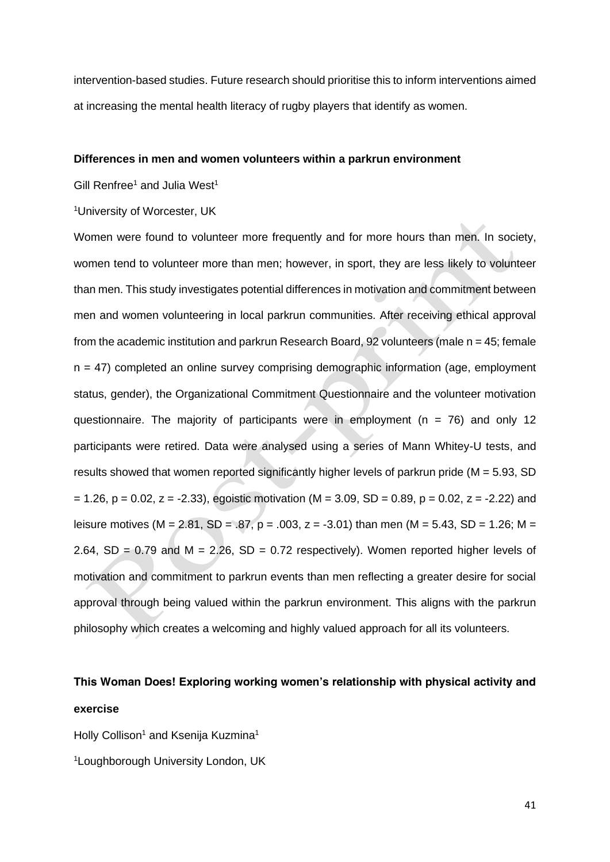intervention-based studies. Future research should prioritise this to inform interventions aimed at increasing the mental health literacy of rugby players that identify as women.

#### **Differences in men and women volunteers within a parkrun environment**

Gill Renfree<sup>1</sup> and Julia West<sup>1</sup>

<sup>1</sup>*University of Worcester, UK*

Women were found to volunteer more frequently and for more hours than men. In society, women tend to volunteer more than men; however, in sport, they are less likely to volunteer than men. This study investigates potential differences in motivation and commitment between men and women volunteering in local parkrun communities. After receiving ethical approval from the academic institution and parkrun Research Board, 92 volunteers (male *n* = 45; female *n* = 47) completed an online survey comprising demographic information (age, employment status, gender), the Organizational Commitment Questionnaire and the volunteer motivation questionnaire. The majority of participants were in employment (*n* = 76) and only 12 participants were retired. Data were analysed using a series of Mann Whitey*-U* tests, and results showed that women reported significantly higher levels of parkrun pride (*M* = 5.93, *SD* = 1.26, *p* = 0.02, *z* = -2.33), egoistic motivation (*M* = 3.09, *SD* = 0.89, *p* = 0.02, *z* = -2.22) and leisure motives (*M* = 2.81, *SD* = .87, *p* = .003, *z* = -3.01) than men (*M* = 5.43, *SD* = 1.26; *M* = 2.64, *SD* = 0.79 and *M* = 2.26, *SD* = 0.72 respectively). Women reported higher levels of motivation and commitment to parkrun events than men reflecting a greater desire for social approval through being valued within the parkrun environment. This aligns with the parkrun philosophy which creates a welcoming and highly valued approach for all its volunteers.

## **This Woman Does! Exploring working women's relationship with physical activity and exercise**

Holly Collison<sup>1</sup> and Ksenija Kuzmina<sup>1</sup> 1*Loughborough University London, UK*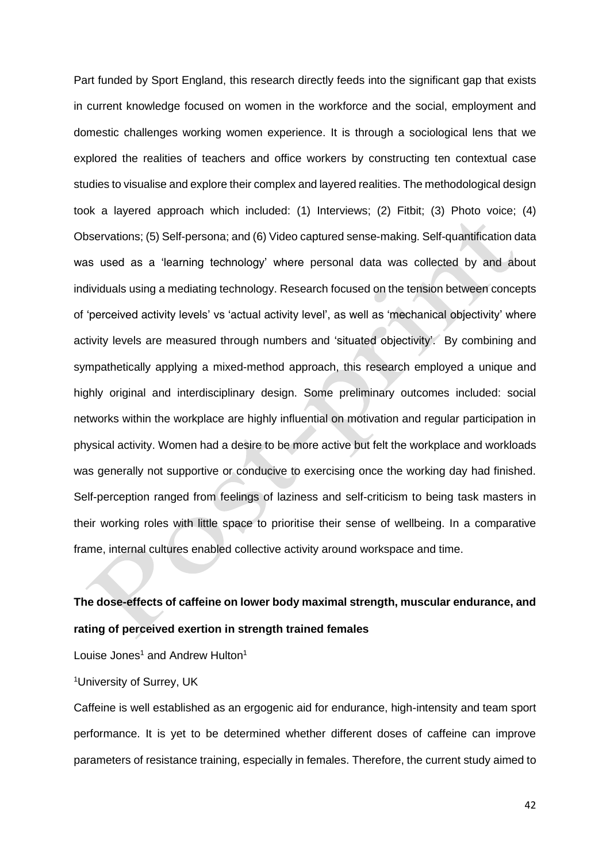Part funded by Sport England, this research directly feeds into the significant gap that exists in current knowledge focused on women in the workforce and the social, employment and domestic challenges working women experience. It is through a sociological lens that we explored the realities of teachers and office workers by constructing ten contextual case studies to visualise and explore their complex and layered realities. The methodological design took a layered approach which included: (1) Interviews; (2) Fitbit; (3) Photo voice; (4) Observations; (5) Self-persona; and (6) Video captured sense-making. Self-quantification data was used as a 'learning technology' where personal data was collected by and about individuals using a mediating technology. Research focused on the tension between concepts of 'perceived activity levels' vs 'actual activity level', as well as 'mechanical objectivity' where activity levels are measured through numbers and 'situated objectivity'. By combining and sympathetically applying a mixed-method approach, this research employed a unique and highly original and interdisciplinary design. Some preliminary outcomes included: social networks within the workplace are highly influential on motivation and regular participation in physical activity. Women had a desire to be more active but felt the workplace and workloads was generally not supportive or conducive to exercising once the working day had finished. Self-perception ranged from feelings of laziness and self-criticism to being task masters in their working roles with little space to prioritise their sense of wellbeing. In a comparative frame, internal cultures enabled collective activity around workspace and time.

## **The dose-effects of caffeine on lower body maximal strength, muscular endurance, and rating of perceived exertion in strength trained females**

Louise Jones<sup>1</sup> and Andrew Hulton<sup>1</sup>

### <sup>1</sup>*University of Surrey, UK*

Caffeine is well established as an ergogenic aid for endurance, high-intensity and team sport performance. It is yet to be determined whether different doses of caffeine can improve parameters of resistance training, especially in females. Therefore, the current study aimed to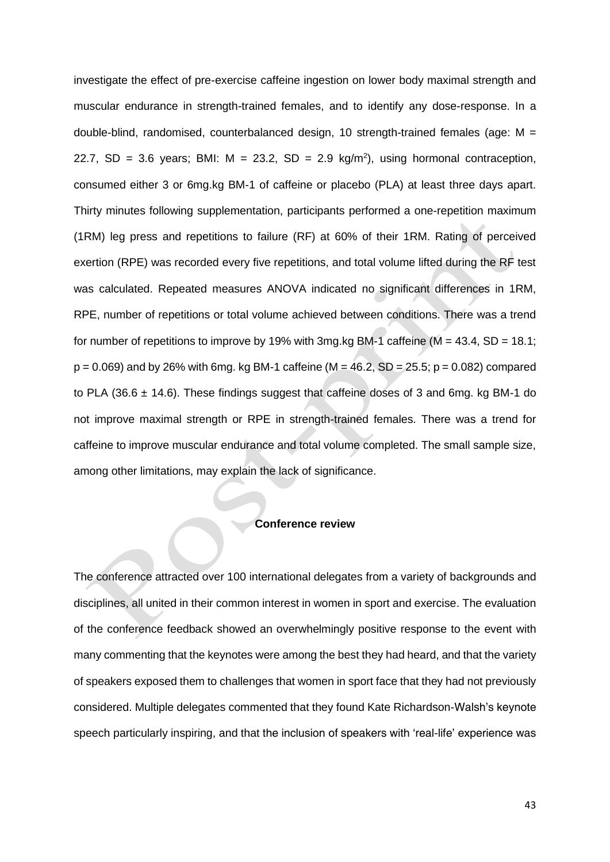investigate the effect of pre-exercise caffeine ingestion on lower body maximal strength and muscular endurance in strength-trained females, and to identify any dose-response. In a double-blind, randomised, counterbalanced design, 10 strength-trained females (age: *M* = 22.7,  $SD = 3.6$  years; BMI:  $M = 23.2$ ,  $SD = 2.9$  kg/m<sup>2</sup>), using hormonal contraception, consumed either 3 or 6mg.kg BM-1 of caffeine or placebo (PLA) at least three days apart. Thirty minutes following supplementation, participants performed a one-repetition maximum (1RM) leg press and repetitions to failure (RF) at 60% of their 1RM. Rating of perceived exertion (RPE) was recorded every five repetitions, and total volume lifted during the RF test was calculated. Repeated measures ANOVA indicated no significant differences in 1RM, RPE, number of repetitions or total volume achieved between conditions. There was a trend for number of repetitions to improve by 19% with 3mg.kg BM-1 caffeine (*M* = 43.4, *SD* = 18.1; *p* = 0.069) and by 26% with 6mg. kg BM-1 caffeine (*M* = 46.2, *SD* = 25.5; *p* = 0.082) compared to PLA (36.6  $\pm$  14.6). These findings suggest that caffeine doses of 3 and 6mg. kg BM-1 do not improve maximal strength or RPE in strength-trained females. There was a trend for caffeine to improve muscular endurance and total volume completed. The small sample size, among other limitations, may explain the lack of significance.

#### **Conference review**

The conference attracted over 100 international delegates from a variety of backgrounds and disciplines, all united in their common interest in women in sport and exercise. The evaluation of the conference feedback showed an overwhelmingly positive response to the event with many commenting that the keynotes were among the best they had heard, and that the variety of speakers exposed them to challenges that women in sport face that they had not previously considered. Multiple delegates commented that they found Kate Richardson-Walsh's keynote speech particularly inspiring, and that the inclusion of speakers with 'real-life' experience was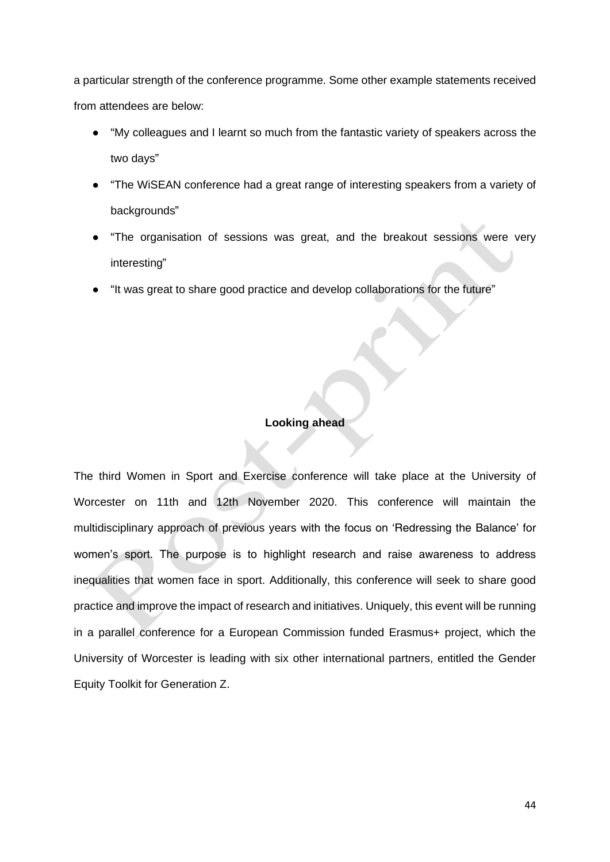a particular strength of the conference programme. Some other example statements received from attendees are below:

- "*My colleagues and I learnt so much from the fantastic variety of speakers across the two days*"
- "*The WiSEAN conference had a great range of interesting speakers from a variety of backgrounds*"
- "*The organisation of sessions was great, and the breakout sessions were very interesting*"
- "*It was great to share good practice and develop collaborations for the future*"

### **Looking ahead**

The third Women in Sport and Exercise conference will take place at the University of Worcester on 11th and 12th November 2020. This conference will maintain the multidisciplinary approach of previous years with the focus on 'Redressing the Balance' for women's sport. The purpose is to highlight research and raise awareness to address inequalities that women face in sport. Additionally, this conference will seek to share good practice and improve the impact of research and initiatives. Uniquely, this event will be running in a parallel conference for a European Commission funded Erasmus+ project, which the University of Worcester is leading with six other international partners, entitled the Gender Equity Toolkit for Generation Z.